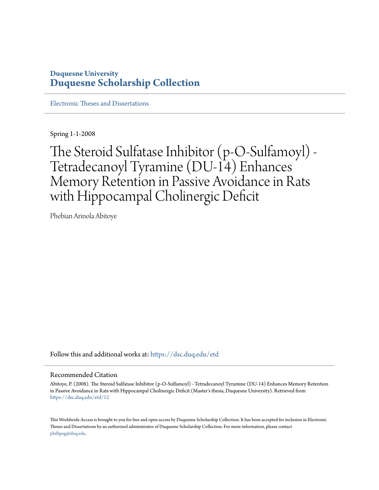# **Duquesne University [Duquesne Scholarship Collection](https://dsc.duq.edu?utm_source=dsc.duq.edu%2Fetd%2F12&utm_medium=PDF&utm_campaign=PDFCoverPages)**

[Electronic Theses and Dissertations](https://dsc.duq.edu/etd?utm_source=dsc.duq.edu%2Fetd%2F12&utm_medium=PDF&utm_campaign=PDFCoverPages)

Spring 1-1-2008

The Steroid Sulfatase Inhibitor (p-O-Sulfamoyl) - Tetradecanoyl Tyramine (DU-14) Enhances Memory Retention in Passive Avoidance in Rats with Hippocampal Cholinergic Deficit

Phebian Arinola Abitoye

Follow this and additional works at: [https://dsc.duq.edu/etd](https://dsc.duq.edu/etd?utm_source=dsc.duq.edu%2Fetd%2F12&utm_medium=PDF&utm_campaign=PDFCoverPages)

#### Recommended Citation

Abitoye, P. (2008). The Steroid Sulfatase Inhibitor (p-O-Sulfamoyl) - Tetradecanoyl Tyramine (DU-14) Enhances Memory Retention in Passive Avoidance in Rats with Hippocampal Cholinergic Deficit (Master's thesis, Duquesne University). Retrieved from [https://dsc.duq.edu/etd/12](https://dsc.duq.edu/etd/12?utm_source=dsc.duq.edu%2Fetd%2F12&utm_medium=PDF&utm_campaign=PDFCoverPages)

This Worldwide Access is brought to you for free and open access by Duquesne Scholarship Collection. It has been accepted for inclusion in Electronic Theses and Dissertations by an authorized administrator of Duquesne Scholarship Collection. For more information, please contact [phillipsg@duq.edu.](mailto:phillipsg@duq.edu)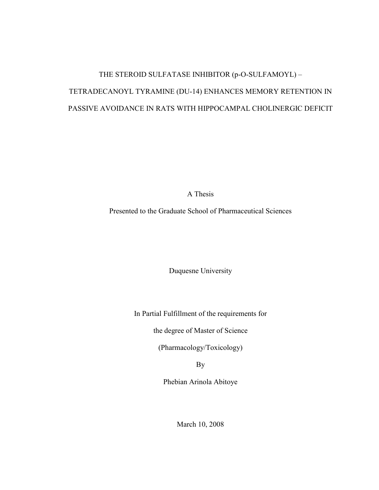# THE STEROID SULFATASE INHIBITOR (p-O-SULFAMOYL) – TETRADECANOYL TYRAMINE (DU-14) ENHANCES MEMORY RETENTION IN PASSIVE AVOIDANCE IN RATS WITH HIPPOCAMPAL CHOLINERGIC DEFICIT

A Thesis

Presented to the Graduate School of Pharmaceutical Sciences

Duquesne University

In Partial Fulfillment of the requirements for

the degree of Master of Science

(Pharmacology/Toxicology)

By

Phebian Arinola Abitoye

March 10, 2008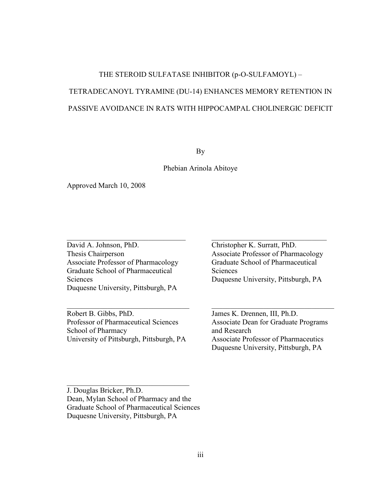# THE STEROID SULFATASE INHIBITOR (p-O-SULFAMOYL) – TETRADECANOYL TYRAMINE (DU-14) ENHANCES MEMORY RETENTION IN PASSIVE AVOIDANCE IN RATS WITH HIPPOCAMPAL CHOLINERGIC DEFICIT

By

#### Phebian Arinola Abitoye

Approved March 10, 2008

David A. Johnson, PhD. Thesis Chairperson Associate Professor of Pharmacology Graduate School of Pharmaceutical Sciences Duquesne University, Pittsburgh, PA

\_\_\_\_\_\_\_\_\_\_\_\_\_\_\_\_\_\_\_\_\_\_\_\_\_\_\_\_\_\_\_\_

Robert B. Gibbs, PhD. Professor of Pharmaceutical Sciences School of Pharmacy University of Pittsburgh, Pittsburgh, PA

\_\_\_\_\_\_\_\_\_\_\_\_\_\_\_\_\_\_\_\_\_\_\_\_\_\_\_\_\_\_\_\_\_

Christopher K. Surratt, PhD. Associate Professor of Pharmacology Graduate School of Pharmaceutical Sciences Duquesne University, Pittsburgh, PA

\_\_\_\_\_\_\_\_\_\_\_\_\_\_\_\_\_\_\_\_\_\_\_\_\_\_\_\_\_\_\_

James K. Drennen, III, Ph.D. Associate Dean for Graduate Programs and Research Associate Professor of Pharmaceutics Duquesne University, Pittsburgh, PA

\_\_\_\_\_\_\_\_\_\_\_\_\_\_\_\_\_\_\_\_\_\_\_\_\_\_\_\_\_\_\_\_\_

J. Douglas Bricker, Ph.D. Dean, Mylan School of Pharmacy and the Graduate School of Pharmaceutical Sciences Duquesne University, Pittsburgh, PA

\_\_\_\_\_\_\_\_\_\_\_\_\_\_\_\_\_\_\_\_\_\_\_\_\_\_\_\_\_\_\_\_\_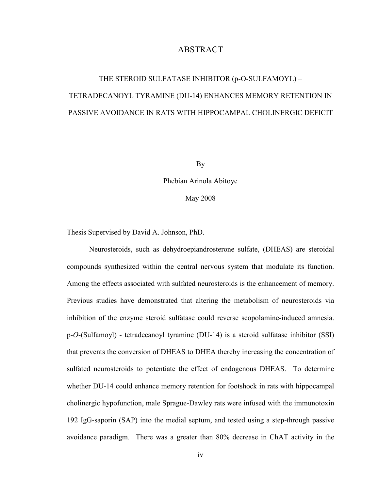### ABSTRACT

# THE STEROID SULFATASE INHIBITOR (p-O-SULFAMOYL) – TETRADECANOYL TYRAMINE (DU-14) ENHANCES MEMORY RETENTION IN PASSIVE AVOIDANCE IN RATS WITH HIPPOCAMPAL CHOLINERGIC DEFICIT

By

Phebian Arinola Abitoye

May 2008

Thesis Supervised by David A. Johnson, PhD.

Neurosteroids, such as dehydroepiandrosterone sulfate, (DHEAS) are steroidal compounds synthesized within the central nervous system that modulate its function. Among the effects associated with sulfated neurosteroids is the enhancement of memory. Previous studies have demonstrated that altering the metabolism of neurosteroids via inhibition of the enzyme steroid sulfatase could reverse scopolamine-induced amnesia. p-*O*-(Sulfamoyl) - tetradecanoyl tyramine (DU-14) is a steroid sulfatase inhibitor (SSI) that prevents the conversion of DHEAS to DHEA thereby increasing the concentration of sulfated neurosteroids to potentiate the effect of endogenous DHEAS. To determine whether DU-14 could enhance memory retention for footshock in rats with hippocampal cholinergic hypofunction, male Sprague-Dawley rats were infused with the immunotoxin 192 IgG-saporin (SAP) into the medial septum, and tested using a step-through passive avoidance paradigm. There was a greater than 80% decrease in ChAT activity in the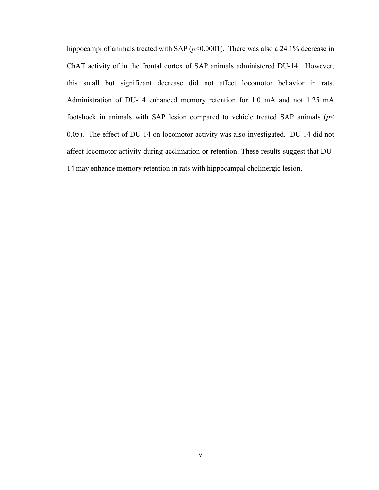hippocampi of animals treated with SAP ( $p$ <0.0001). There was also a 24.1% decrease in ChAT activity of in the frontal cortex of SAP animals administered DU-14. However, this small but significant decrease did not affect locomotor behavior in rats. Administration of DU-14 enhanced memory retention for 1.0 mA and not 1.25 mA footshock in animals with SAP lesion compared to vehicle treated SAP animals (*p*< 0.05). The effect of DU-14 on locomotor activity was also investigated. DU-14 did not affect locomotor activity during acclimation or retention. These results suggest that DU-14 may enhance memory retention in rats with hippocampal cholinergic lesion.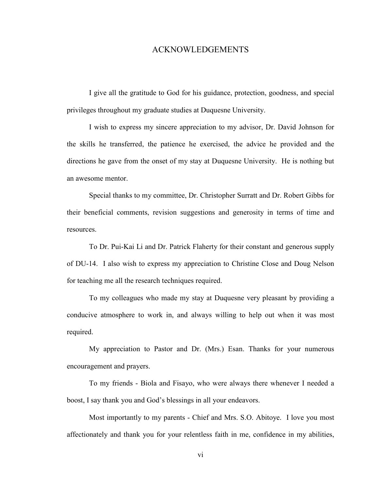#### ACKNOWLEDGEMENTS

I give all the gratitude to God for his guidance, protection, goodness, and special privileges throughout my graduate studies at Duquesne University.

I wish to express my sincere appreciation to my advisor, Dr. David Johnson for the skills he transferred, the patience he exercised, the advice he provided and the directions he gave from the onset of my stay at Duquesne University. He is nothing but an awesome mentor.

Special thanks to my committee, Dr. Christopher Surratt and Dr. Robert Gibbs for their beneficial comments, revision suggestions and generosity in terms of time and resources.

To Dr. Pui-Kai Li and Dr. Patrick Flaherty for their constant and generous supply of DU-14. I also wish to express my appreciation to Christine Close and Doug Nelson for teaching me all the research techniques required.

To my colleagues who made my stay at Duquesne very pleasant by providing a conducive atmosphere to work in, and always willing to help out when it was most required.

My appreciation to Pastor and Dr. (Mrs.) Esan. Thanks for your numerous encouragement and prayers.

To my friends - Biola and Fisayo, who were always there whenever I needed a boost, I say thank you and God's blessings in all your endeavors.

Most importantly to my parents - Chief and Mrs. S.O. Abitoye. I love you most affectionately and thank you for your relentless faith in me, confidence in my abilities,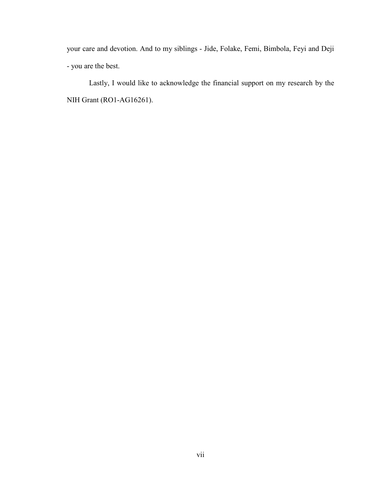your care and devotion. And to my siblings - Jide, Folake, Femi, Bimbola, Feyi and Deji - you are the best.

Lastly, I would like to acknowledge the financial support on my research by the NIH Grant (RO1-AG16261).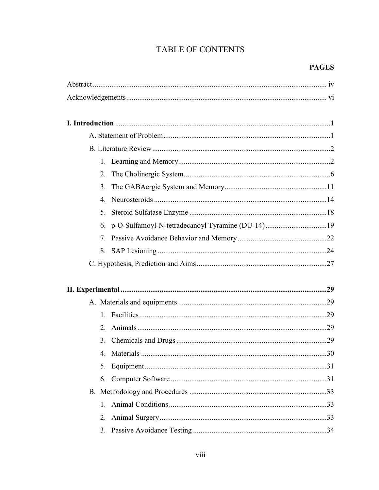# TABLE OF CONTENTS

## **PAGES**

| 2.             |                                                     |  |
|----------------|-----------------------------------------------------|--|
| 3 <sub>1</sub> |                                                     |  |
| $4_{\cdot}$    |                                                     |  |
| 5.             |                                                     |  |
|                | 6. p-O-Sulfamoyl-N-tetradecanoyl Tyramine (DU-14)19 |  |
| 7              |                                                     |  |
| 8.             |                                                     |  |
|                |                                                     |  |
|                |                                                     |  |
|                |                                                     |  |
|                |                                                     |  |
|                |                                                     |  |
| $2_{\cdot}$    |                                                     |  |
|                |                                                     |  |
|                |                                                     |  |
| 5.             |                                                     |  |
| 6.             |                                                     |  |
|                |                                                     |  |
| $1_{-}$        |                                                     |  |
| 2.             |                                                     |  |
| 3.             |                                                     |  |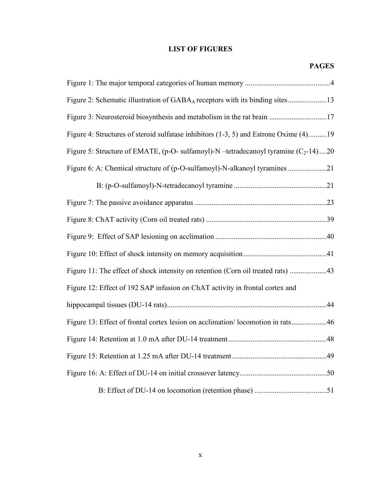## LIST OF FIGURES

| Figure 2: Schematic illustration of GABAA receptors with its binding sites13            |
|-----------------------------------------------------------------------------------------|
|                                                                                         |
| Figure 4: Structures of steroid sulfatase inhibitors (1-3, 5) and Estrone Oxime (4)19   |
| Figure 5: Structure of EMATE, (p-O- sulfamoyl)-N --tetradecanoyl tyramine $(C_2$ -14)20 |
|                                                                                         |
|                                                                                         |
|                                                                                         |
|                                                                                         |
|                                                                                         |
|                                                                                         |
|                                                                                         |
| Figure 12: Effect of 192 SAP infusion on ChAT activity in frontal cortex and            |
|                                                                                         |
| Figure 13: Effect of frontal cortex lesion on acclimation/locomotion in rats46          |
|                                                                                         |
|                                                                                         |
|                                                                                         |
|                                                                                         |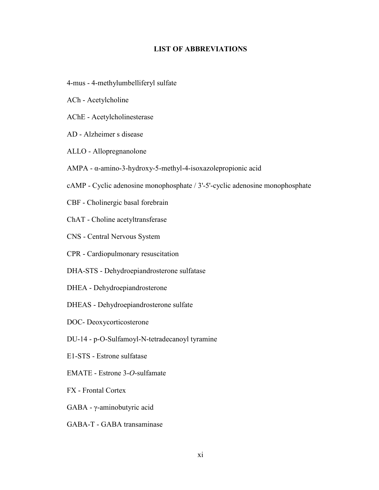#### LIST OF ABBREVIATIONS

- 4-mus 4-methylumbelliferyl sulfate
- ACh Acetylcholine
- AChE Acetylcholinesterase
- AD Alzheimer s disease
- ALLO Allopregnanolone
- AMPA α-amino-3-hydroxy-5-methyl-4-isoxazolepropionic acid
- cAMP Cyclic adenosine monophosphate / 3'-5'-cyclic adenosine monophosphate
- CBF Cholinergic basal forebrain
- ChAT Choline acetyltransferase
- CNS Central Nervous System
- CPR Cardiopulmonary resuscitation
- DHA-STS Dehydroepiandrosterone sulfatase
- DHEA Dehydroepiandrosterone
- DHEAS Dehydroepiandrosterone sulfate
- DOC- Deoxycorticosterone
- DU-14 p-O-Sulfamoyl-N-tetradecanoyl tyramine
- E1-STS Estrone sulfatase
- EMATE Estrone 3-*O*-sulfamate
- FX Frontal Cortex
- GABA γ-aminobutyric acid
- GABA-T GABA transaminase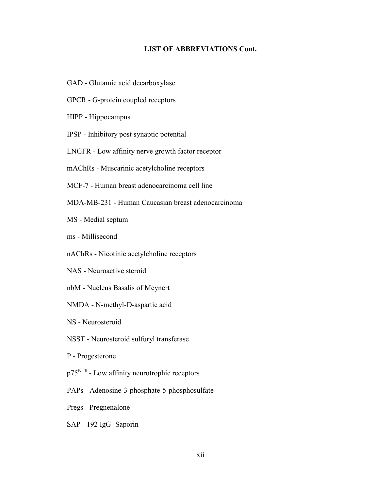#### LIST OF ABBREVIATIONS Cont.

- GAD Glutamic acid decarboxylase
- GPCR G-protein coupled receptors
- HIPP Hippocampus
- IPSP Inhibitory post synaptic potential
- LNGFR Low affinity nerve growth factor receptor
- mAChRs Muscarinic acetylcholine receptors
- MCF-7 Human breast adenocarcinoma cell line
- MDA-MB-231 Human Caucasian breast adenocarcinoma
- MS Medial septum
- ms Millisecond
- nAChRs Nicotinic acetylcholine receptors
- NAS Neuroactive steroid
- nbM Nucleus Basalis of Meynert
- NMDA N-methyl-D-aspartic acid
- NS Neurosteroid
- NSST Neurosteroid sulfuryl transferase
- P Progesterone
- p75<sup>NTR</sup> Low affinity neurotrophic receptors
- PAPs Adenosine-3-phosphate-5-phosphosulfate
- Pregs Pregnenalone
- SAP 192 IgG- Saporin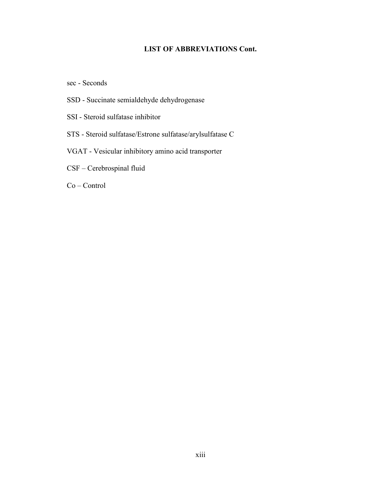### LIST OF ABBREVIATIONS Cont.

sec - Seconds

- SSD Succinate semialdehyde dehydrogenase
- SSI Steroid sulfatase inhibitor
- STS Steroid sulfatase/Estrone sulfatase/arylsulfatase C
- VGAT Vesicular inhibitory amino acid transporter
- CSF Cerebrospinal fluid

Co – Control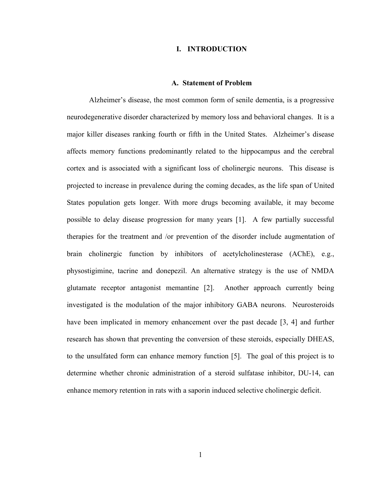#### I. INTRODUCTION

#### A. Statement of Problem

Alzheimer's disease, the most common form of senile dementia, is a progressive neurodegenerative disorder characterized by memory loss and behavioral changes. It is a major killer diseases ranking fourth or fifth in the United States. Alzheimer's disease affects memory functions predominantly related to the hippocampus and the cerebral cortex and is associated with a significant loss of cholinergic neurons. This disease is projected to increase in prevalence during the coming decades, as the life span of United States population gets longer. With more drugs becoming available, it may become possible to delay disease progression for many years [1]. A few partially successful therapies for the treatment and /or prevention of the disorder include augmentation of brain cholinergic function by inhibitors of acetylcholinesterase (AChE), e.g., physostigimine, tacrine and donepezil. An alternative strategy is the use of NMDA glutamate receptor antagonist memantine [2]. Another approach currently being investigated is the modulation of the major inhibitory GABA neurons. Neurosteroids have been implicated in memory enhancement over the past decade [3, 4] and further research has shown that preventing the conversion of these steroids, especially DHEAS, to the unsulfated form can enhance memory function [5]. The goal of this project is to determine whether chronic administration of a steroid sulfatase inhibitor, DU-14, can enhance memory retention in rats with a saporin induced selective cholinergic deficit.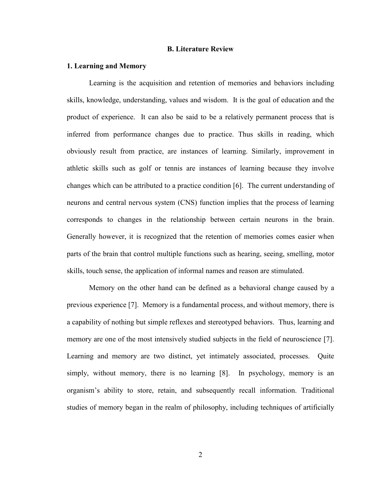#### B. Literature Review

#### 1. Learning and Memory

Learning is the acquisition and retention of memories and behaviors including skills, knowledge, understanding, values and wisdom. It is the goal of education and the product of experience. It can also be said to be a relatively permanent process that is inferred from performance changes due to practice. Thus skills in reading, which obviously result from practice, are instances of learning. Similarly, improvement in athletic skills such as golf or tennis are instances of learning because they involve changes which can be attributed to a practice condition [6]. The current understanding of neurons and central nervous system (CNS) function implies that the process of learning corresponds to changes in the relationship between certain neurons in the brain. Generally however, it is recognized that the retention of memories comes easier when parts of the brain that control multiple functions such as hearing, seeing, smelling, motor skills, touch sense, the application of informal names and reason are stimulated.

Memory on the other hand can be defined as a behavioral change caused by a previous experience [7]. Memory is a fundamental process, and without memory, there is a capability of nothing but simple reflexes and stereotyped behaviors. Thus, learning and memory are one of the most intensively studied subjects in the field of neuroscience [7]. Learning and memory are two distinct, yet intimately associated, processes. Quite simply, without memory, there is no learning [8]. In psychology, memory is an organism's ability to store, retain, and subsequently recall information. Traditional studies of memory began in the realm of philosophy, including techniques of artificially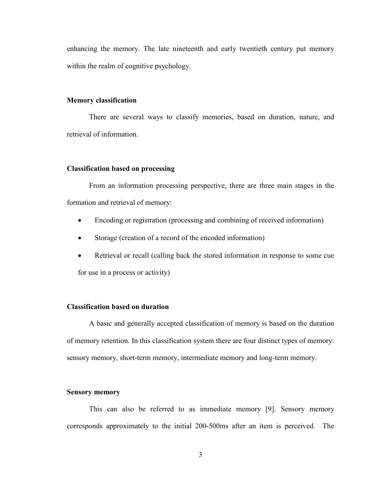enhancing the memory. The late nineteenth and early twentieth century put memory within the realm of cognitive psychology.

#### Memory classification

There are several ways to classify memories, based on duration, nature, and retrieval of information.

#### Classification based on processing

From an information processing perspective, there are three main stages in the formation and retrieval of memory:

- Encoding or registration (processing and combining of received information)
- Storage (creation of a record of the encoded information)
- Retrieval or recall (calling back the stored information in response to some cue for use in a process or activity)

#### Classification based on duration

A basic and generally accepted classification of memory is based on the duration of memory retention. In this classification system there are four distinct types of memory: sensory memory, short-term memory, intermediate memory and long-term memory.

#### Sensory memory

 This can also be referred to as immediate memory [9]. Sensory memory corresponds approximately to the initial 200-500ms after an item is perceived. The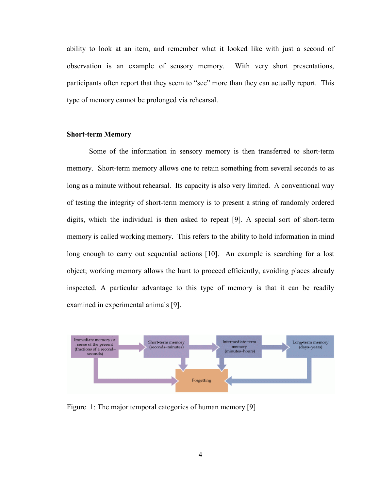ability to look at an item, and remember what it looked like with just a second of observation is an example of sensory memory. With very short presentations, participants often report that they seem to "see" more than they can actually report. This type of memory cannot be prolonged via rehearsal.

#### Short-term Memory

 Some of the information in sensory memory is then transferred to short-term memory. Short-term memory allows one to retain something from several seconds to as long as a minute without rehearsal. Its capacity is also very limited. A conventional way of testing the integrity of short-term memory is to present a string of randomly ordered digits, which the individual is then asked to repeat [9]. A special sort of short-term memory is called working memory. This refers to the ability to hold information in mind long enough to carry out sequential actions [10]. An example is searching for a lost object; working memory allows the hunt to proceed efficiently, avoiding places already inspected. A particular advantage to this type of memory is that it can be readily examined in experimental animals [9].



Figure 1: The major temporal categories of human memory [9]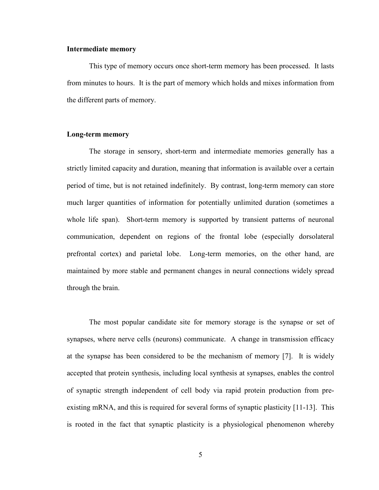#### Intermediate memory

This type of memory occurs once short-term memory has been processed. It lasts from minutes to hours. It is the part of memory which holds and mixes information from the different parts of memory.

#### Long-term memory

The storage in sensory, short-term and intermediate memories generally has a strictly limited capacity and duration, meaning that information is available over a certain period of time, but is not retained indefinitely. By contrast, long-term memory can store much larger quantities of information for potentially unlimited duration (sometimes a whole life span). Short-term memory is supported by transient patterns of neuronal communication, dependent on regions of the frontal lobe (especially dorsolateral prefrontal cortex) and parietal lobe. Long-term memories, on the other hand, are maintained by more stable and permanent changes in neural connections widely spread through the brain.

The most popular candidate site for memory storage is the synapse or set of synapses, where nerve cells (neurons) communicate. A change in transmission efficacy at the synapse has been considered to be the mechanism of memory [7]. It is widely accepted that protein synthesis, including local synthesis at synapses, enables the control of synaptic strength independent of cell body via rapid protein production from preexisting mRNA, and this is required for several forms of synaptic plasticity [11-13]. This is rooted in the fact that synaptic plasticity is a physiological phenomenon whereby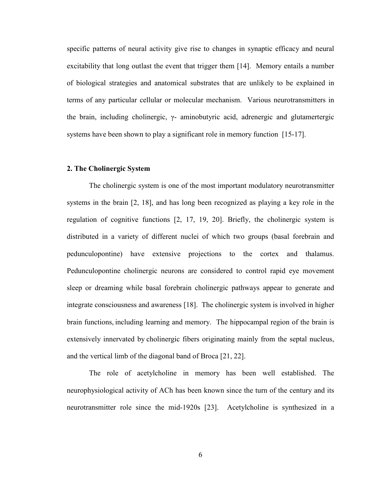specific patterns of neural activity give rise to changes in synaptic efficacy and neural excitability that long outlast the event that trigger them [14]. Memory entails a number of biological strategies and anatomical substrates that are unlikely to be explained in terms of any particular cellular or molecular mechanism. Various neurotransmitters in the brain, including cholinergic, γ- aminobutyric acid, adrenergic and glutamertergic systems have been shown to play a significant role in memory function [15-17].

#### 2. The Cholinergic System

The cholinergic system is one of the most important modulatory neurotransmitter systems in the brain [2, 18], and has long been recognized as playing a key role in the regulation of cognitive functions [2, 17, 19, 20]. Briefly, the cholinergic system is distributed in a variety of different nuclei of which two groups (basal forebrain and pedunculopontine) have extensive projections to the cortex and thalamus. Pedunculopontine cholinergic neurons are considered to control rapid eye movement sleep or dreaming while basal forebrain cholinergic pathways appear to generate and integrate consciousness and awareness [18]. The cholinergic system is involved in higher brain functions, including learning and memory. The hippocampal region of the brain is extensively innervated by cholinergic fibers originating mainly from the septal nucleus, and the vertical limb of the diagonal band of Broca [21, 22].

The role of acetylcholine in memory has been well established. The neurophysiological activity of ACh has been known since the turn of the century and its neurotransmitter role since the mid-1920s [23]. Acetylcholine is synthesized in a

6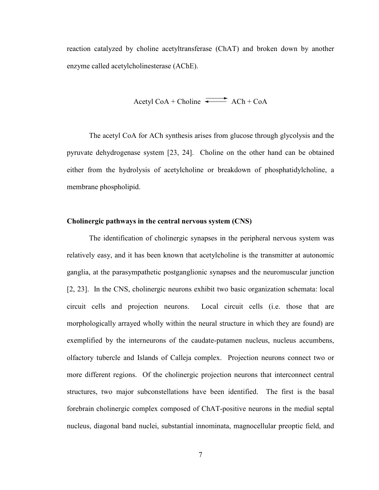reaction catalyzed by choline acetyltransferase (ChAT) and broken down by another enzyme called acetylcholinesterase (AChE).

$$
A^{\text{cetyl CoA + Choline}}
$$
 
$$
A^{\text{ch + CoA}}
$$

The acetyl CoA for ACh synthesis arises from glucose through glycolysis and the pyruvate dehydrogenase system [23, 24]. Choline on the other hand can be obtained either from the hydrolysis of acetylcholine or breakdown of phosphatidylcholine, a membrane phospholipid.

#### Cholinergic pathways in the central nervous system (CNS)

The identification of cholinergic synapses in the peripheral nervous system was relatively easy, and it has been known that acetylcholine is the transmitter at autonomic ganglia, at the parasympathetic postganglionic synapses and the neuromuscular junction [2, 23]. In the CNS, cholinergic neurons exhibit two basic organization schemata: local circuit cells and projection neurons. Local circuit cells (i.e. those that are morphologically arrayed wholly within the neural structure in which they are found) are exemplified by the interneurons of the caudate-putamen nucleus, nucleus accumbens, olfactory tubercle and Islands of Calleja complex. Projection neurons connect two or more different regions. Of the cholinergic projection neurons that interconnect central structures, two major subconstellations have been identified. The first is the basal forebrain cholinergic complex composed of ChAT-positive neurons in the medial septal nucleus, diagonal band nuclei, substantial innominata, magnocellular preoptic field, and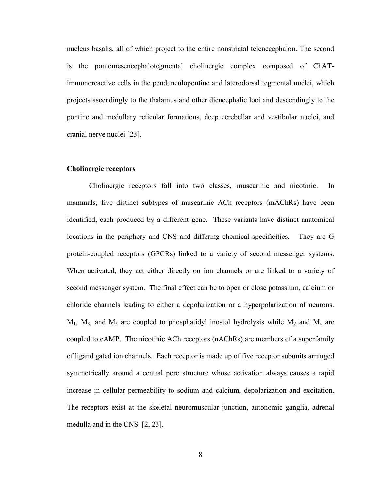nucleus basalis, all of which project to the entire nonstriatal telenecephalon. The second is the pontomesencephalotegmental cholinergic complex composed of ChATimmunoreactive cells in the pendunculopontine and laterodorsal tegmental nuclei, which projects ascendingly to the thalamus and other diencephalic loci and descendingly to the pontine and medullary reticular formations, deep cerebellar and vestibular nuclei, and cranial nerve nuclei [23].

#### Cholinergic receptors

Cholinergic receptors fall into two classes, muscarinic and nicotinic. In mammals, five distinct subtypes of muscarinic ACh receptors (mAChRs) have been identified, each produced by a different gene. These variants have distinct anatomical locations in the periphery and CNS and differing chemical specificities. They are G protein-coupled receptors (GPCRs) linked to a variety of second messenger systems. When activated, they act either directly on ion channels or are linked to a variety of second messenger system. The final effect can be to open or close potassium, calcium or chloride channels leading to either a depolarization or a hyperpolarization of neurons.  $M_1$ ,  $M_3$ , and  $M_5$  are coupled to phosphatidyl inostol hydrolysis while  $M_2$  and  $M_4$  are coupled to cAMP. The nicotinic ACh receptors (nAChRs) are members of a superfamily of ligand gated ion channels. Each receptor is made up of five receptor subunits arranged symmetrically around a central pore structure whose activation always causes a rapid increase in cellular permeability to sodium and calcium, depolarization and excitation. The receptors exist at the skeletal neuromuscular junction, autonomic ganglia, adrenal medulla and in the CNS [2, 23].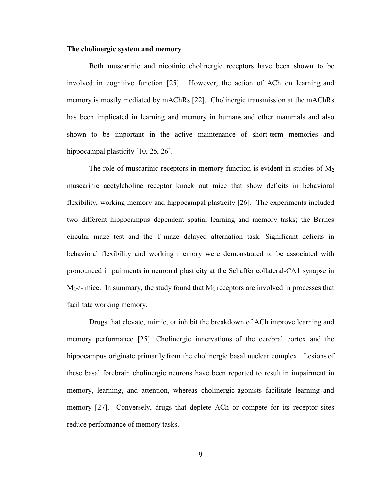#### The cholinergic system and memory

Both muscarinic and nicotinic cholinergic receptors have been shown to be involved in cognitive function [25]. However, the action of ACh on learning and memory is mostly mediated by mAChRs [22]. Cholinergic transmission at the mAChRs has been implicated in learning and memory in humans and other mammals and also shown to be important in the active maintenance of short-term memories and hippocampal plasticity [10, 25, 26].

The role of muscarinic receptors in memory function is evident in studies of  $M<sub>2</sub>$ muscarinic acetylcholine receptor knock out mice that show deficits in behavioral flexibility, working memory and hippocampal plasticity [26]. The experiments included two different hippocampus–dependent spatial learning and memory tasks; the Barnes circular maze test and the T-maze delayed alternation task. Significant deficits in behavioral flexibility and working memory were demonstrated to be associated with pronounced impairments in neuronal plasticity at the Schaffer collateral-CA1 synapse in  $M<sub>2</sub>$ -/- mice. In summary, the study found that  $M<sub>2</sub>$  receptors are involved in processes that facilitate working memory.

Drugs that elevate, mimic, or inhibit the breakdown of ACh improve learning and memory performance [25]. Cholinergic innervations of the cerebral cortex and the hippocampus originate primarily from the cholinergic basal nuclear complex. Lesions of these basal forebrain cholinergic neurons have been reported to result in impairment in memory, learning, and attention, whereas cholinergic agonists facilitate learning and memory [27]. Conversely, drugs that deplete ACh or compete for its receptor sites reduce performance of memory tasks.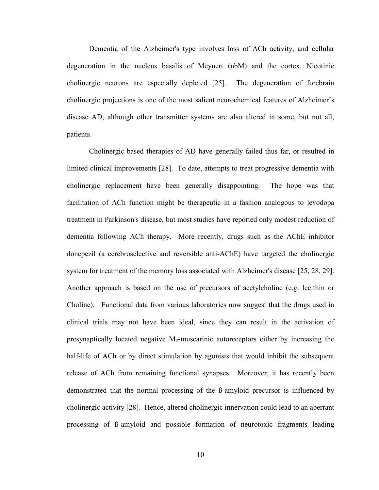Dementia of the Alzheimer's type involves loss of ACh activity, and cellular degeneration in the nucleus basalis of Meynert (nbM) and the cortex. Nicotinic cholinergic neurons are especially depleted [25]. The degeneration of forebrain cholinergic projections is one of the most salient neurochemical features of Alzheimer's disease AD, although other transmitter systems are also altered in some, but not all, patients.

Cholinergic based therapies of AD have generally failed thus far, or resulted in limited clinical improvements [28]. To date, attempts to treat progressive dementia with cholinergic replacement have been generally disappointing. The hope was that facilitation of ACh function might be therapeutic in a fashion analogous to levodopa treatment in Parkinson's disease, but most studies have reported only modest reduction of dementia following ACh therapy. More recently, drugs such as the AChE inhibitor donepezil (a cerebroselective and reversible anti-AChE) have targeted the cholinergic system for treatment of the memory loss associated with Alzheimer's disease [25, 28, 29]. Another approach is based on the use of precursors of acetylcholine (e.g. lecithin or Choline). Functional data from various laboratories now suggest that the drugs used in clinical trials may not have been ideal, since they can result in the activation of presynaptically located negative  $M_2$ -muscarinic autoreceptors either by increasing the half-life of ACh or by direct stimulation by agonists that would inhibit the subsequent release of ACh from remaining functional synapses. Moreover, it has recently been demonstrated that the normal processing of the ß-amyloid precursor is influenced by cholinergic activity [28]. Hence, altered cholinergic innervation could lead to an aberrant processing of ß-amyloid and possible formation of neurotoxic fragments leading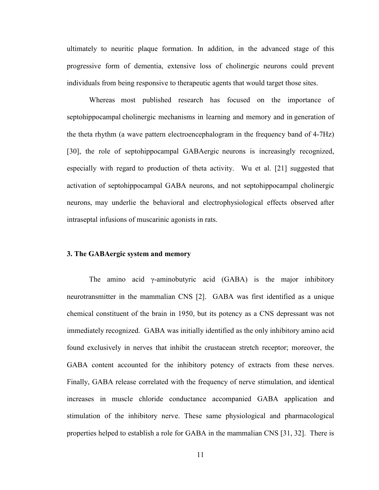ultimately to neuritic plaque formation. In addition, in the advanced stage of this progressive form of dementia, extensive loss of cholinergic neurons could prevent individuals from being responsive to therapeutic agents that would target those sites.

Whereas most published research has focused on the importance of septohippocampal cholinergic mechanisms in learning and memory and in generation of the theta rhythm (a wave pattern electroencephalogram in the frequency band of 4-7Hz) [30], the role of septohippocampal GABAergic neurons is increasingly recognized, especially with regard to production of theta activity. Wu et al. [21] suggested that activation of septohippocampal GABA neurons, and not septohippocampal cholinergic neurons, may underlie the behavioral and electrophysiological effects observed after intraseptal infusions of muscarinic agonists in rats.

#### 3. The GABAergic system and memory

The amino acid γ-aminobutyric acid (GABA) is the major inhibitory neurotransmitter in the mammalian CNS [2]. GABA was first identified as a unique chemical constituent of the brain in 1950, but its potency as a CNS depressant was not immediately recognized. GABA was initially identified as the only inhibitory amino acid found exclusively in nerves that inhibit the crustacean stretch receptor; moreover, the GABA content accounted for the inhibitory potency of extracts from these nerves. Finally, GABA release correlated with the frequency of nerve stimulation, and identical increases in muscle chloride conductance accompanied GABA application and stimulation of the inhibitory nerve. These same physiological and pharmacological properties helped to establish a role for GABA in the mammalian CNS [31, 32]. There is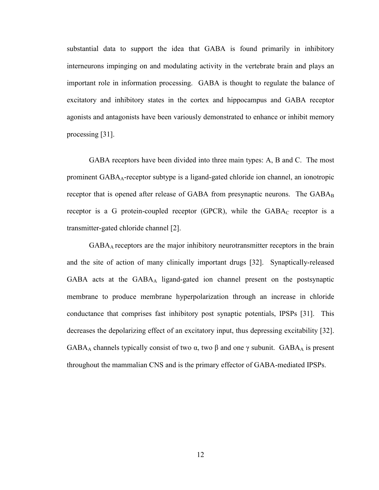substantial data to support the idea that GABA is found primarily in inhibitory interneurons impinging on and modulating activity in the vertebrate brain and plays an important role in information processing. GABA is thought to regulate the balance of excitatory and inhibitory states in the cortex and hippocampus and GABA receptor agonists and antagonists have been variously demonstrated to enhance or inhibit memory processing [31].

GABA receptors have been divided into three main types: A, B and C. The most prominent  $GABA<sub>A</sub>$ -receptor subtype is a ligand-gated chloride ion channel, an ionotropic receptor that is opened after release of GABA from presynaptic neurons. The GABAB receptor is a G protein-coupled receptor (GPCR), while the  $GABA_C$  receptor is a transmitter-gated chloride channel [2].

GABAA receptors are the major inhibitory neurotransmitter receptors in the brain and the site of action of many clinically important drugs [32]. Synaptically-released GABA acts at the GABAA ligand-gated ion channel present on the postsynaptic membrane to produce membrane hyperpolarization through an increase in chloride conductance that comprises fast inhibitory post synaptic potentials, IPSPs [31]. This decreases the depolarizing effect of an excitatory input, thus depressing excitability [32]. GABA<sub>A</sub> channels typically consist of two  $\alpha$ , two  $\beta$  and one  $\gamma$  subunit. GABA<sub>A</sub> is present throughout the mammalian CNS and is the primary effector of GABA-mediated IPSPs.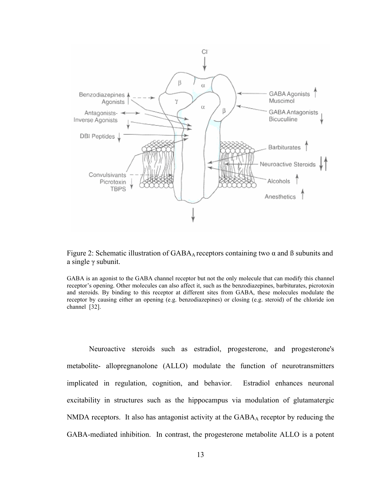

Figure 2: Schematic illustration of  $GABA_A$  receptors containing two  $\alpha$  and  $\beta$  subunits and a single γ subunit.

GABA is an agonist to the GABA channel receptor but not the only molecule that can modify this channel receptor's opening. Other molecules can also affect it, such as the benzodiazepines, barbiturates, picrotoxin and steroids. By binding to this receptor at different sites from GABA, these molecules modulate the receptor by causing either an opening (e.g. benzodiazepines) or closing (e.g. steroid) of the chloride ion channel [32].

Neuroactive steroids such as estradiol, progesterone, and progesterone's metabolite- allopregnanolone (ALLO) modulate the function of neurotransmitters implicated in regulation, cognition, and behavior. Estradiol enhances neuronal excitability in structures such as the hippocampus via modulation of glutamatergic NMDA receptors. It also has antagonist activity at the GABA<sub>A</sub> receptor by reducing the GABA-mediated inhibition. In contrast, the progesterone metabolite ALLO is a potent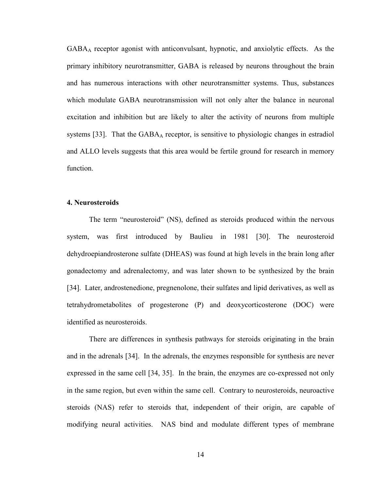GABAA receptor agonist with anticonvulsant, hypnotic, and anxiolytic effects. As the primary inhibitory neurotransmitter, GABA is released by neurons throughout the brain and has numerous interactions with other neurotransmitter systems. Thus, substances which modulate GABA neurotransmission will not only alter the balance in neuronal excitation and inhibition but are likely to alter the activity of neurons from multiple systems [33]. That the  $GABA_A$  receptor, is sensitive to physiologic changes in estradiol and ALLO levels suggests that this area would be fertile ground for research in memory function.

#### 4. Neurosteroids

The term "neurosteroid" (NS), defined as steroids produced within the nervous system, was first introduced by Baulieu in 1981 [30]. The neurosteroid dehydroepiandrosterone sulfate (DHEAS) was found at high levels in the brain long after gonadectomy and adrenalectomy, and was later shown to be synthesized by the brain [34]. Later, androstenedione, pregnenolone, their sulfates and lipid derivatives, as well as tetrahydrometabolites of progesterone (P) and deoxycorticosterone (DOC) were identified as neurosteroids.

There are differences in synthesis pathways for steroids originating in the brain and in the adrenals [34]. In the adrenals, the enzymes responsible for synthesis are never expressed in the same cell [34, 35]. In the brain, the enzymes are co-expressed not only in the same region, but even within the same cell. Contrary to neurosteroids, neuroactive steroids (NAS) refer to steroids that, independent of their origin, are capable of modifying neural activities. NAS bind and modulate different types of membrane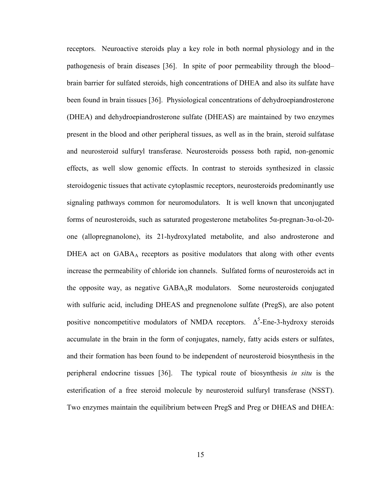receptors. Neuroactive steroids play a key role in both normal physiology and in the pathogenesis of brain diseases [36]. In spite of poor permeability through the blood– brain barrier for sulfated steroids, high concentrations of DHEA and also its sulfate have been found in brain tissues [36]. Physiological concentrations of dehydroepiandrosterone (DHEA) and dehydroepiandrosterone sulfate (DHEAS) are maintained by two enzymes present in the blood and other peripheral tissues, as well as in the brain, steroid sulfatase and neurosteroid sulfuryl transferase. Neurosteroids possess both rapid, non-genomic effects, as well slow genomic effects. In contrast to steroids synthesized in classic steroidogenic tissues that activate cytoplasmic receptors, neurosteroids predominantly use signaling pathways common for neuromodulators. It is well known that unconjugated forms of neurosteroids, such as saturated progesterone metabolites 5α-pregnan-3α-ol-20 one (allopregnanolone), its 21-hydroxylated metabolite, and also androsterone and DHEA act on GABA<sub>A</sub> receptors as positive modulators that along with other events increase the permeability of chloride ion channels. Sulfated forms of neurosteroids act in the opposite way, as negative GABAAR modulators. Some neurosteroids conjugated with sulfuric acid, including DHEAS and pregnenolone sulfate (PregS), are also potent positive noncompetitive modulators of NMDA receptors.  $\Delta^5$ -Ene-3-hydroxy steroids accumulate in the brain in the form of conjugates, namely, fatty acids esters or sulfates, and their formation has been found to be independent of neurosteroid biosynthesis in the peripheral endocrine tissues [36]. The typical route of biosynthesis *in situ* is the esterification of a free steroid molecule by neurosteroid sulfuryl transferase (NSST). Two enzymes maintain the equilibrium between PregS and Preg or DHEAS and DHEA: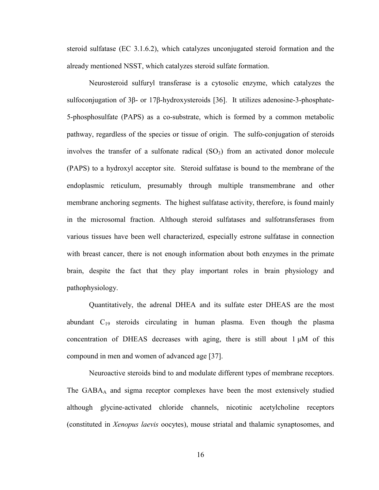steroid sulfatase (EC 3.1.6.2), which catalyzes unconjugated steroid formation and the already mentioned NSST, which catalyzes steroid sulfate formation.

Neurosteroid sulfuryl transferase is a cytosolic enzyme, which catalyzes the sulfoconjugation of 3β- or 17β-hydroxysteroids [36]. It utilizes adenosine-3-phosphate-5-phosphosulfate (PAPS) as a co-substrate, which is formed by a common metabolic pathway, regardless of the species or tissue of origin. The sulfo-conjugation of steroids involves the transfer of a sulfonate radical  $(SO<sub>3</sub>)$  from an activated donor molecule (PAPS) to a hydroxyl acceptor site. Steroid sulfatase is bound to the membrane of the endoplasmic reticulum, presumably through multiple transmembrane and other membrane anchoring segments. The highest sulfatase activity, therefore, is found mainly in the microsomal fraction. Although steroid sulfatases and sulfotransferases from various tissues have been well characterized, especially estrone sulfatase in connection with breast cancer, there is not enough information about both enzymes in the primate brain, despite the fact that they play important roles in brain physiology and pathophysiology.

Quantitatively, the adrenal DHEA and its sulfate ester DHEAS are the most abundant  $C_{19}$  steroids circulating in human plasma. Even though the plasma concentration of DHEAS decreases with aging, there is still about  $1 \mu M$  of this compound in men and women of advanced age [37].

Neuroactive steroids bind to and modulate different types of membrane receptors. The GABA<sub>A</sub> and sigma receptor complexes have been the most extensively studied although glycine-activated chloride channels, nicotinic acetylcholine receptors (constituted in *Xenopus laevis* oocytes), mouse striatal and thalamic synaptosomes, and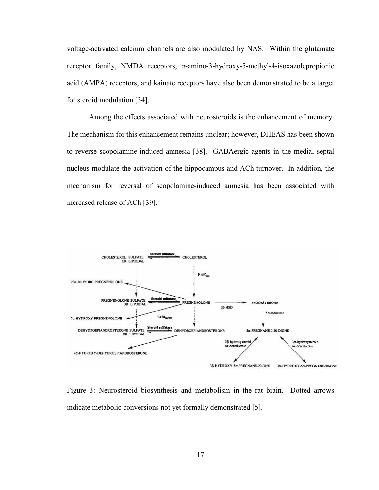voltage-activated calcium channels are also modulated by NAS. Within the glutamate receptor family, NMDA receptors, α-amino-3-hydroxy-5-methyl-4-isoxazolepropionic acid (AMPA) receptors, and kainate receptors have also been demonstrated to be a target for steroid modulation [34].

Among the effects associated with neurosteroids is the enhancement of memory. The mechanism for this enhancement remains unclear; however, DHEAS has been shown to reverse scopolamine-induced amnesia [38]. GABAergic agents in the medial septal nucleus modulate the activation of the hippocampus and ACh turnover. In addition, the mechanism for reversal of scopolamine-induced amnesia has been associated with increased release of ACh [39].



Figure 3: Neurosteroid biosynthesis and metabolism in the rat brain. Dotted arrows indicate metabolic conversions not yet formally demonstrated [5].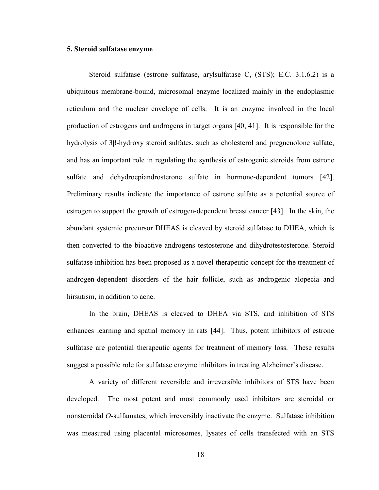#### 5. Steroid sulfatase enzyme

Steroid sulfatase (estrone sulfatase, arylsulfatase C, (STS); E.C. 3.1.6.2) is a ubiquitous membrane-bound, microsomal enzyme localized mainly in the endoplasmic reticulum and the nuclear envelope of cells. It is an enzyme involved in the local production of estrogens and androgens in target organs [40, 41]. It is responsible for the hydrolysis of 3β-hydroxy steroid sulfates, such as cholesterol and pregnenolone sulfate, and has an important role in regulating the synthesis of estrogenic steroids from estrone sulfate and dehydroepiandrosterone sulfate in hormone-dependent tumors [42]. Preliminary results indicate the importance of estrone sulfate as a potential source of estrogen to support the growth of estrogen-dependent breast cancer [43]. In the skin, the abundant systemic precursor DHEAS is cleaved by steroid sulfatase to DHEA, which is then converted to the bioactive androgens testosterone and dihydrotestosterone. Steroid sulfatase inhibition has been proposed as a novel therapeutic concept for the treatment of androgen-dependent disorders of the hair follicle, such as androgenic alopecia and hirsutism, in addition to acne.

In the brain, DHEAS is cleaved to DHEA via STS, and inhibition of STS enhances learning and spatial memory in rats [44]. Thus, potent inhibitors of estrone sulfatase are potential therapeutic agents for treatment of memory loss. These results suggest a possible role for sulfatase enzyme inhibitors in treating Alzheimer's disease.

A variety of different reversible and irreversible inhibitors of STS have been developed. The most potent and most commonly used inhibitors are steroidal or nonsteroidal *O*-sulfamates, which irreversibly inactivate the enzyme. Sulfatase inhibition was measured using placental microsomes, lysates of cells transfected with an STS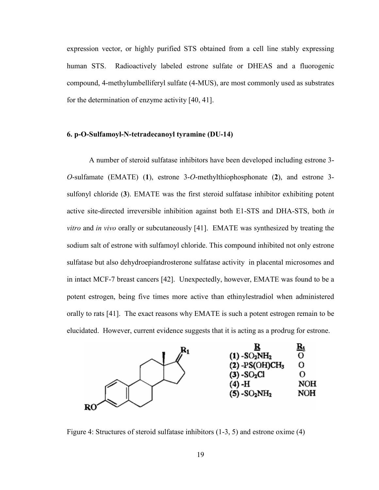expression vector, or highly purified STS obtained from a cell line stably expressing human STS. Radioactively labeled estrone sulfate or DHEAS and a fluorogenic compound, 4-methylumbelliferyl sulfate (4-MUS), are most commonly used as substrates for the determination of enzyme activity [40, 41].

#### 6. p-O-Sulfamoyl-N-tetradecanoyl tyramine (DU-14)

A number of steroid sulfatase inhibitors have been developed including estrone 3- *O*-sulfamate (EMATE) (1), estrone 3-*O*-methylthiophosphonate (2), and estrone 3 sulfonyl chloride (3). EMATE was the first steroid sulfatase inhibitor exhibiting potent active site-directed irreversible inhibition against both E1-STS and DHA-STS, both *in vitro* and *in vivo* orally or subcutaneously [41]. EMATE was synthesized by treating the sodium salt of estrone with sulfamoyl chloride. This compound inhibited not only estrone sulfatase but also dehydroepiandrosterone sulfatase activity in placental microsomes and in intact MCF-7 breast cancers [42]. Unexpectedly, however, EMATE was found to be a potent estrogen, being five times more active than ethinylestradiol when administered orally to rats [41]. The exact reasons why EMATE is such a potent estrogen remain to be elucidated. However, current evidence suggests that it is acting as a prodrug for estrone.



Figure 4: Structures of steroid sulfatase inhibitors (1-3, 5) and estrone oxime (4)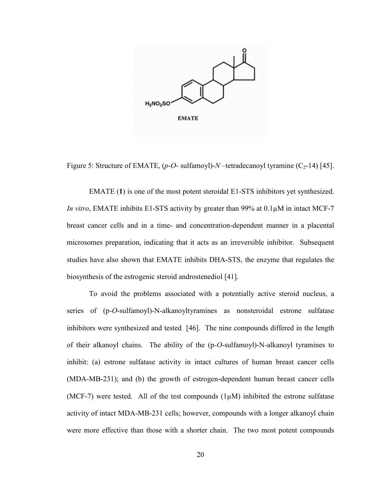

Figure 5: Structure of EMATE,  $(p-O-$  sulfamoyl)- $N$ -tetradecanoyl tyramine  $(C_2-14)$  [45].

EMATE (1) is one of the most potent steroidal E1-STS inhibitors yet synthesized. *In vitro*, EMATE inhibits E1-STS activity by greater than 99% at 0.1 $\mu$ M in intact MCF-7 breast cancer cells and in a time- and concentration-dependent manner in a placental microsomes preparation, indicating that it acts as an irreversible inhibitor. Subsequent studies have also shown that EMATE inhibits DHA-STS, the enzyme that regulates the biosynthesis of the estrogenic steroid androstenediol [41].

To avoid the problems associated with a potentially active steroid nucleus, a series of (p-*O*-sulfamoyl)-N-alkanoyltyramines as nonsteroidal estrone sulfatase inhibitors were synthesized and tested [46]. The nine compounds differed in the length of their alkanoyl chains. The ability of the (p-*O*-sulfamoyl)-N-alkanoyl tyramines to inhibit: (a) estrone sulfatase activity in intact cultures of human breast cancer cells (MDA-MB-231); and (b) the growth of estrogen-dependent human breast cancer cells (MCF-7) were tested*.* All of the test compounds (1µM) inhibited the estrone sulfatase activity of intact MDA-MB-231 cells; however, compounds with a longer alkanoyl chain were more effective than those with a shorter chain. The two most potent compounds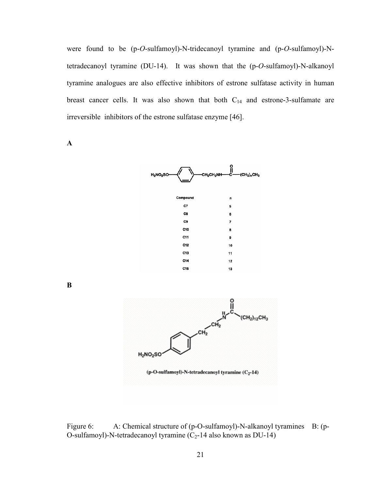were found to be (p-*O*-sulfamoyl)-N-tridecanoyl tyramine and (p-*O*-sulfamoyl)-Ntetradecanoyl tyramine (DU-14). It was shown that the (p-*O*-sulfamoyl)-N-alkanoyl tyramine analogues are also effective inhibitors of estrone sulfatase activity in human breast cancer cells. It was also shown that both  $C_{14}$  and estrone-3-sulfamate are irreversible inhibitors of the estrone sulfatase enzyme [46].

A



B



Figure 6: A: Chemical structure of (p-O-sulfamoyl)-N-alkanoyl tyramines B: (p-O-sulfamoyl)-N-tetradecanoyl tyramine  $(C_2-14$  also known as DU-14)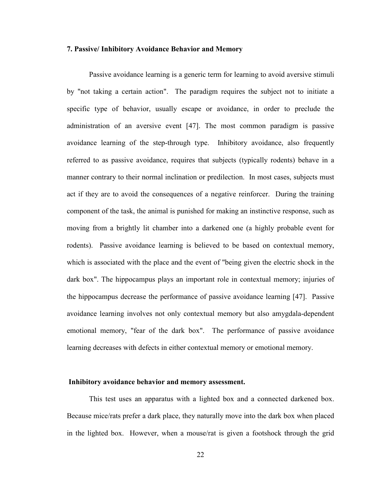#### 7. Passive/ Inhibitory Avoidance Behavior and Memory

Passive avoidance learning is a generic term for learning to avoid aversive stimuli by "not taking a certain action". The paradigm requires the subject not to initiate a specific type of behavior, usually escape or avoidance, in order to preclude the administration of an aversive event [47]. The most common paradigm is passive avoidance learning of the step-through type. Inhibitory avoidance, also frequently referred to as passive avoidance, requires that subjects (typically rodents) behave in a manner contrary to their normal inclination or predilection. In most cases, subjects must act if they are to avoid the consequences of a negative reinforcer. During the training component of the task, the animal is punished for making an instinctive response, such as moving from a brightly lit chamber into a darkened one (a highly probable event for rodents). Passive avoidance learning is believed to be based on contextual memory, which is associated with the place and the event of "being given the electric shock in the dark box". The hippocampus plays an important role in contextual memory; injuries of the hippocampus decrease the performance of passive avoidance learning [47]. Passive avoidance learning involves not only contextual memory but also amygdala-dependent emotional memory, "fear of the dark box". The performance of passive avoidance learning decreases with defects in either contextual memory or emotional memory.

#### Inhibitory avoidance behavior and memory assessment.

This test uses an apparatus with a lighted box and a connected darkened box. Because mice/rats prefer a dark place, they naturally move into the dark box when placed in the lighted box. However, when a mouse/rat is given a footshock through the grid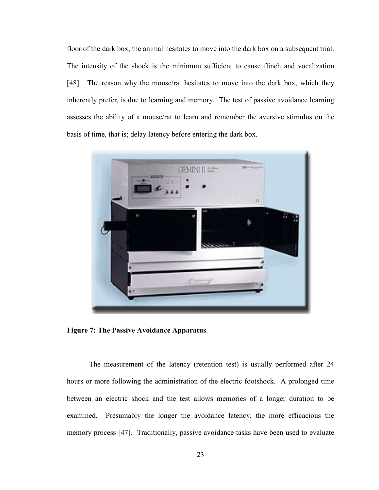floor of the dark box, the animal hesitates to move into the dark box on a subsequent trial. The intensity of the shock is the minimum sufficient to cause flinch and vocalization [48]. The reason why the mouse/rat hesitates to move into the dark box, which they inherently prefer, is due to learning and memory. The test of passive avoidance learning assesses the ability of a mouse/rat to learn and remember the aversive stimulus on the basis of time, that is; delay latency before entering the dark box.



Figure 7: The Passive Avoidance Apparatus.

The measurement of the latency (retention test) is usually performed after 24 hours or more following the administration of the electric footshock. A prolonged time between an electric shock and the test allows memories of a longer duration to be examined. Presumably the longer the avoidance latency, the more efficacious the memory process [47]. Traditionally, passive avoidance tasks have been used to evaluate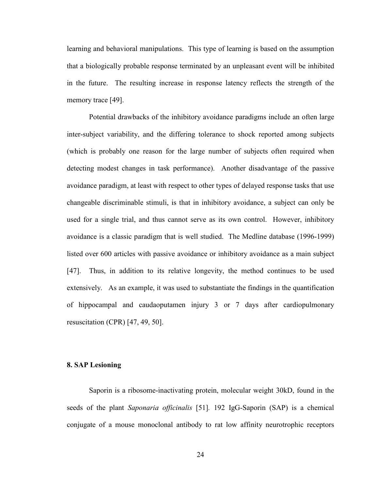learning and behavioral manipulations. This type of learning is based on the assumption that a biologically probable response terminated by an unpleasant event will be inhibited in the future. The resulting increase in response latency reflects the strength of the memory trace [49].

Potential drawbacks of the inhibitory avoidance paradigms include an often large inter-subject variability, and the differing tolerance to shock reported among subjects (which is probably one reason for the large number of subjects often required when detecting modest changes in task performance). Another disadvantage of the passive avoidance paradigm, at least with respect to other types of delayed response tasks that use changeable discriminable stimuli, is that in inhibitory avoidance, a subject can only be used for a single trial, and thus cannot serve as its own control. However, inhibitory avoidance is a classic paradigm that is well studied. The Medline database (1996-1999) listed over 600 articles with passive avoidance or inhibitory avoidance as a main subject [47]. Thus, in addition to its relative longevity, the method continues to be used extensively. As an example, it was used to substantiate the findings in the quantification of hippocampal and caudaoputamen injury 3 or 7 days after cardiopulmonary resuscitation (CPR) [47, 49, 50].

## 8. SAP Lesioning

Saporin is a ribosome-inactivating protein, molecular weight 30kD, found in the seeds of the plant *Saponaria officinalis* [51]*.* 192 IgG-Saporin (SAP) is a chemical conjugate of a mouse monoclonal antibody to rat low affinity neurotrophic receptors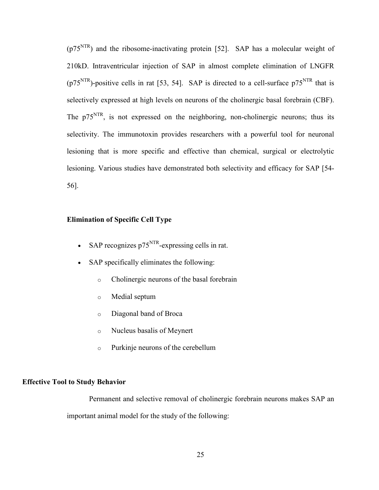$(p75<sup>NTR</sup>)$  and the ribosome-inactivating protein [52]. SAP has a molecular weight of 210kD. Intraventricular injection of SAP in almost complete elimination of LNGFR  $(p75<sup>NTR</sup>)$ -positive cells in rat [53, 54]. SAP is directed to a cell-surface  $p75<sup>NTR</sup>$  that is selectively expressed at high levels on neurons of the cholinergic basal forebrain (CBF). The  $p75<sup>NTR</sup>$ , is not expressed on the neighboring, non-cholinergic neurons; thus its selectivity. The immunotoxin provides researchers with a powerful tool for neuronal lesioning that is more specific and effective than chemical, surgical or electrolytic lesioning. Various studies have demonstrated both selectivity and efficacy for SAP [54- 56].

## Elimination of Specific Cell Type

- SAP recognizes  $p75<sup>NTR</sup>$ -expressing cells in rat.
- SAP specifically eliminates the following:
	- o Cholinergic neurons of the basal forebrain
	- o Medial septum
	- o Diagonal band of Broca
	- o Nucleus basalis of Meynert
	- o Purkinje neurons of the cerebellum

# Effective Tool to Study Behavior

Permanent and selective removal of cholinergic forebrain neurons makes SAP an important animal model for the study of the following: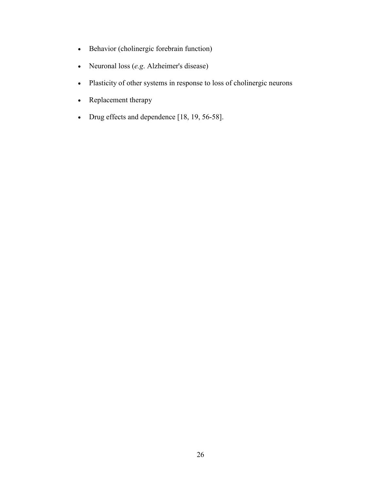- Behavior (cholinergic forebrain function)
- Neuronal loss (*e.g*. Alzheimer's disease)
- Plasticity of other systems in response to loss of cholinergic neurons
- Replacement therapy
- Drug effects and dependence [18, 19, 56-58].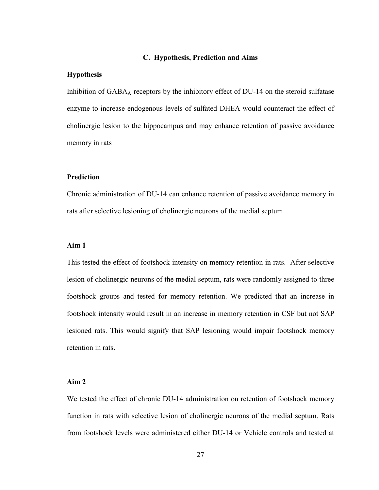### C. Hypothesis, Prediction and Aims

### Hypothesis

Inhibition of GABA<sub>A</sub> receptors by the inhibitory effect of DU-14 on the steroid sulfatase enzyme to increase endogenous levels of sulfated DHEA would counteract the effect of cholinergic lesion to the hippocampus and may enhance retention of passive avoidance memory in rats

## Prediction

Chronic administration of DU-14 can enhance retention of passive avoidance memory in rats after selective lesioning of cholinergic neurons of the medial septum

### Aim 1

This tested the effect of footshock intensity on memory retention in rats. After selective lesion of cholinergic neurons of the medial septum, rats were randomly assigned to three footshock groups and tested for memory retention. We predicted that an increase in footshock intensity would result in an increase in memory retention in CSF but not SAP lesioned rats. This would signify that SAP lesioning would impair footshock memory retention in rats.

## Aim 2

We tested the effect of chronic DU-14 administration on retention of footshock memory function in rats with selective lesion of cholinergic neurons of the medial septum. Rats from footshock levels were administered either DU-14 or Vehicle controls and tested at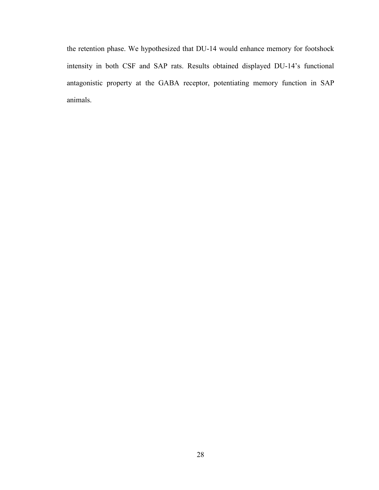the retention phase. We hypothesized that DU-14 would enhance memory for footshock intensity in both CSF and SAP rats. Results obtained displayed DU-14's functional antagonistic property at the GABA receptor, potentiating memory function in SAP animals.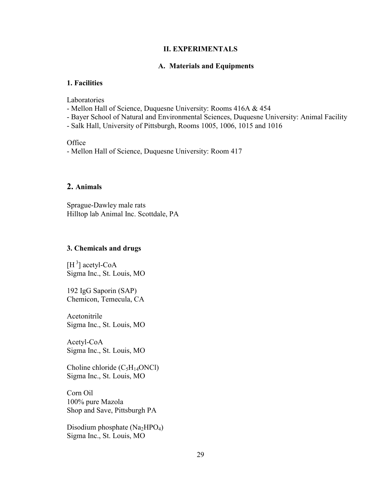## II. EXPERIMENTALS

## A. Materials and Equipments

# 1. Facilities

Laboratories

- Mellon Hall of Science, Duquesne University: Rooms 416A & 454
- Bayer School of Natural and Environmental Sciences, Duquesne University: Animal Facility
- Salk Hall, University of Pittsburgh, Rooms 1005, 1006, 1015 and 1016

**Office** 

- Mellon Hall of Science, Duquesne University: Room 417

# 2. Animals

Sprague-Dawley male rats Hilltop lab Animal Inc. Scottdale, PA

## 3. Chemicals and drugs

 $[H^3]$  acetyl-CoA Sigma Inc., St. Louis, MO

192 IgG Saporin (SAP) Chemicon, Temecula, CA

Acetonitrile Sigma Inc., St. Louis, MO

Acetyl-CoA Sigma Inc., St. Louis, MO

Choline chloride  $(C_5H_{14}ONCl)$ Sigma Inc., St. Louis, MO

Corn Oil 100% pure Mazola Shop and Save, Pittsburgh PA

Disodium phosphate  $(Na<sub>2</sub>HPO<sub>4</sub>)$ Sigma Inc., St. Louis, MO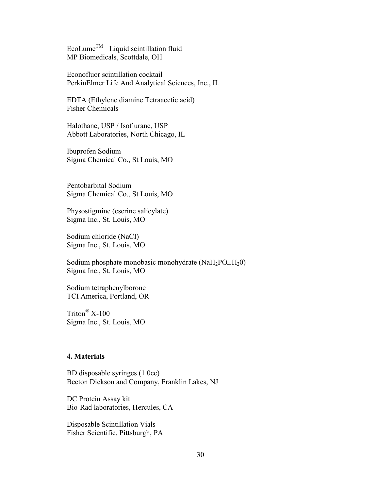EcoLume<sup>TM</sup> Liquid scintillation fluid MP Biomedicals, Scottdale, OH

Econofluor scintillation cocktail PerkinElmer Life And Analytical Sciences, Inc., IL

EDTA (Ethylene diamine Tetraacetic acid) Fisher Chemicals

Halothane, USP / Isoflurane, USP Abbott Laboratories, North Chicago, IL

Ibuprofen Sodium Sigma Chemical Co., St Louis, MO

Pentobarbital Sodium Sigma Chemical Co., St Louis, MO

Physostigmine (eserine salicylate) Sigma Inc., St. Louis, MO

Sodium chloride (NaCI) Sigma Inc., St. Louis, MO

Sodium phosphate monobasic monohydrate  $(NaH<sub>2</sub>PO<sub>4</sub>,H<sub>2</sub>O)$ Sigma Inc., St. Louis, MO

Sodium tetraphenylborone TCI America, Portland, OR

Triton® X-100 Sigma Inc., St. Louis, MO

## 4. Materials

BD disposable syringes (1.0cc) Becton Dickson and Company, Franklin Lakes, NJ

DC Protein Assay kit Bio-Rad laboratories, Hercules, CA

Disposable Scintillation Vials Fisher Scientific, Pittsburgh, PA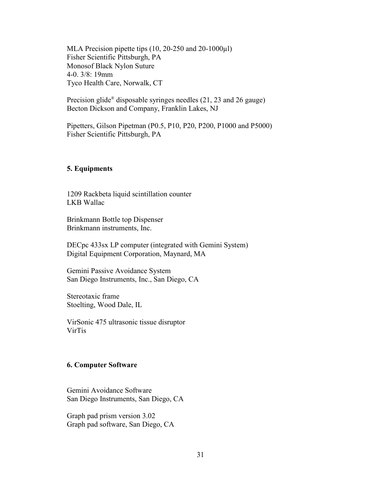MLA Precision pipette tips (10, 20-250 and 20-1000µl) Fisher Scientific Pittsburgh, PA Monosof Black Nylon Suture 4-0. 3/8: 19mm Tyco Health Care, Norwalk, CT

Precision glide<sup>®</sup> disposable syringes needles (21, 23 and 26 gauge) Becton Dickson and Company, Franklin Lakes, NJ

Pipetters, Gilson Pipetman (P0.5, P10, P20, P200, P1000 and P5000) Fisher Scientific Pittsburgh, PA

## 5. Equipments

1209 Rackbeta liquid scintillation counter LKB Wallac

Brinkmann Bottle top Dispenser Brinkmann instruments, Inc.

DECpc 433sx LP computer (integrated with Gemini System) Digital Equipment Corporation, Maynard, MA

Gemini Passive Avoidance System San Diego Instruments, Inc., San Diego, CA

Stereotaxic frame Stoelting, Wood Dale, IL

VirSonic 475 ultrasonic tissue disruptor VirTis

## 6. Computer Software

Gemini Avoidance Software San Diego Instruments, San Diego, CA

Graph pad prism version 3.02 Graph pad software, San Diego, CA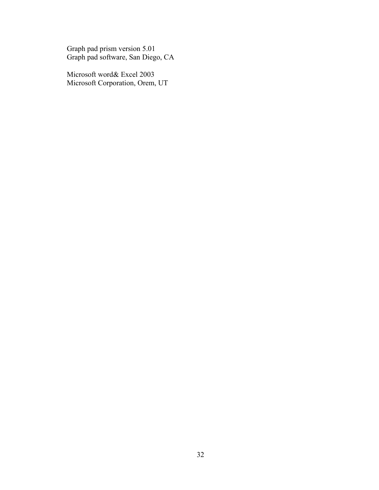Graph pad prism version 5.01 Graph pad software, San Diego, CA

Microsoft word& Excel 2003 Microsoft Corporation, Orem, UT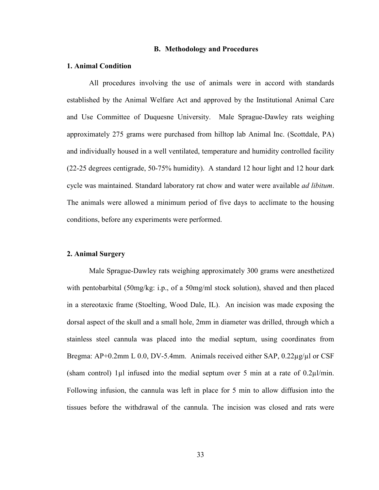#### B. Methodology and Procedures

#### 1. Animal Condition

All procedures involving the use of animals were in accord with standards established by the Animal Welfare Act and approved by the Institutional Animal Care and Use Committee of Duquesne University. Male Sprague-Dawley rats weighing approximately 275 grams were purchased from hilltop lab Animal Inc. (Scottdale, PA) and individually housed in a well ventilated, temperature and humidity controlled facility (22-25 degrees centigrade, 50-75% humidity). A standard 12 hour light and 12 hour dark cycle was maintained. Standard laboratory rat chow and water were available *ad libitum*. The animals were allowed a minimum period of five days to acclimate to the housing conditions, before any experiments were performed.

### 2. Animal Surgery

Male Sprague-Dawley rats weighing approximately 300 grams were anesthetized with pentobarbital (50mg/kg: i.p., of a 50mg/ml stock solution), shaved and then placed in a stereotaxic frame (Stoelting, Wood Dale, IL). An incision was made exposing the dorsal aspect of the skull and a small hole, 2mm in diameter was drilled, through which a stainless steel cannula was placed into the medial septum, using coordinates from Bregma:  $AP+0.2$ mm L 0.0, DV-5.4mm. Animals received either SAP, 0.22 $\mu$ g/ $\mu$ l or CSF (sham control) 1 $\mu$ l infused into the medial septum over 5 min at a rate of 0.2 $\mu$ l/min. Following infusion, the cannula was left in place for 5 min to allow diffusion into the tissues before the withdrawal of the cannula. The incision was closed and rats were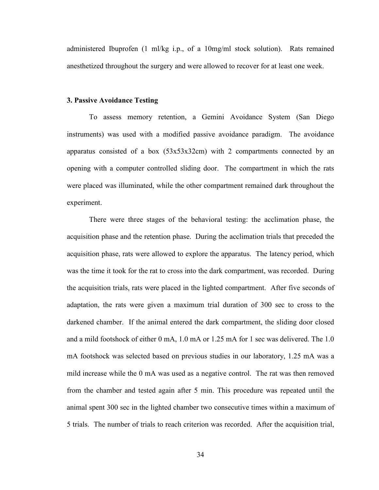administered Ibuprofen (1 ml/kg i.p., of a 10mg/ml stock solution). Rats remained anesthetized throughout the surgery and were allowed to recover for at least one week.

#### 3. Passive Avoidance Testing

To assess memory retention, a Gemini Avoidance System (San Diego instruments) was used with a modified passive avoidance paradigm. The avoidance apparatus consisted of a box (53x53x32cm) with 2 compartments connected by an opening with a computer controlled sliding door. The compartment in which the rats were placed was illuminated, while the other compartment remained dark throughout the experiment.

There were three stages of the behavioral testing: the acclimation phase, the acquisition phase and the retention phase. During the acclimation trials that preceded the acquisition phase, rats were allowed to explore the apparatus. The latency period, which was the time it took for the rat to cross into the dark compartment, was recorded. During the acquisition trials, rats were placed in the lighted compartment. After five seconds of adaptation, the rats were given a maximum trial duration of 300 sec to cross to the darkened chamber. If the animal entered the dark compartment, the sliding door closed and a mild footshock of either 0 mA, 1.0 mA or 1.25 mA for 1 sec was delivered. The 1.0 mA footshock was selected based on previous studies in our laboratory, 1.25 mA was a mild increase while the 0 mA was used as a negative control. The rat was then removed from the chamber and tested again after 5 min. This procedure was repeated until the animal spent 300 sec in the lighted chamber two consecutive times within a maximum of 5 trials. The number of trials to reach criterion was recorded. After the acquisition trial,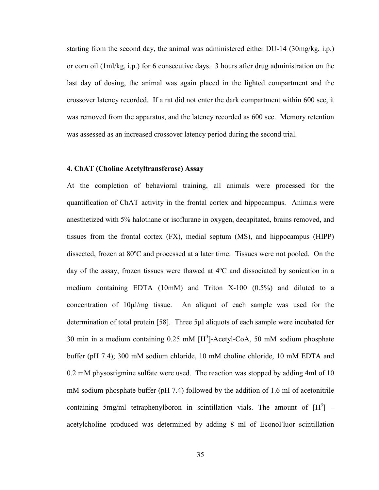starting from the second day, the animal was administered either DU-14 (30mg/kg, i.p.) or corn oil (1ml/kg, i.p.) for 6 consecutive days. 3 hours after drug administration on the last day of dosing, the animal was again placed in the lighted compartment and the crossover latency recorded. If a rat did not enter the dark compartment within 600 sec, it was removed from the apparatus, and the latency recorded as 600 sec. Memory retention was assessed as an increased crossover latency period during the second trial.

## 4. ChAT (Choline Acetyltransferase) Assay

At the completion of behavioral training, all animals were processed for the quantification of ChAT activity in the frontal cortex and hippocampus. Animals were anesthetized with 5% halothane or isoflurane in oxygen, decapitated, brains removed, and tissues from the frontal cortex (FX), medial septum (MS), and hippocampus (HIPP) dissected, frozen at 80ºC and processed at a later time. Tissues were not pooled. On the day of the assay, frozen tissues were thawed at 4ºC and dissociated by sonication in a medium containing EDTA (10mM) and Triton X-100 (0.5%) and diluted to a concentration of 10µl/mg tissue. An aliquot of each sample was used for the determination of total protein [58]. Three 5µl aliquots of each sample were incubated for 30 min in a medium containing  $0.25 \text{ mM } [H^3]$ -Acetyl-CoA, 50 mM sodium phosphate buffer (pH 7.4); 300 mM sodium chloride, 10 mM choline chloride, 10 mM EDTA and 0.2 mM physostigmine sulfate were used. The reaction was stopped by adding 4ml of 10 mM sodium phosphate buffer (pH 7.4) followed by the addition of 1.6 ml of acetonitrile containing 5mg/ml tetraphenylboron in scintillation vials. The amount of  $[H^3]$  – acetylcholine produced was determined by adding 8 ml of EconoFluor scintillation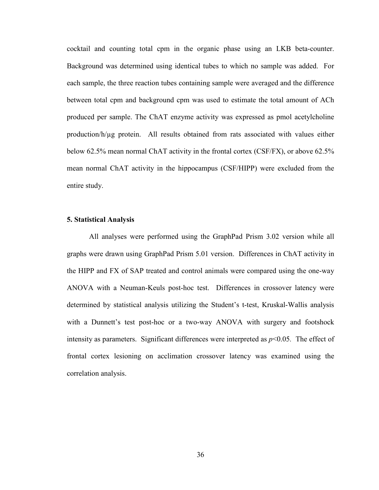cocktail and counting total cpm in the organic phase using an LKB beta-counter. Background was determined using identical tubes to which no sample was added. For each sample, the three reaction tubes containing sample were averaged and the difference between total cpm and background cpm was used to estimate the total amount of ACh produced per sample. The ChAT enzyme activity was expressed as pmol acetylcholine production/h/µg protein. All results obtained from rats associated with values either below 62.5% mean normal ChAT activity in the frontal cortex (CSF/FX), or above 62.5% mean normal ChAT activity in the hippocampus (CSF/HIPP) were excluded from the entire study.

### 5. Statistical Analysis

All analyses were performed using the GraphPad Prism 3.02 version while all graphs were drawn using GraphPad Prism 5.01 version. Differences in ChAT activity in the HIPP and FX of SAP treated and control animals were compared using the one-way ANOVA with a Neuman-Keuls post-hoc test. Differences in crossover latency were determined by statistical analysis utilizing the Student's t-test, Kruskal-Wallis analysis with a Dunnett's test post-hoc or a two-way ANOVA with surgery and footshock intensity as parameters. Significant differences were interpreted as *p*<0.05*.* The effect of frontal cortex lesioning on acclimation crossover latency was examined using the correlation analysis.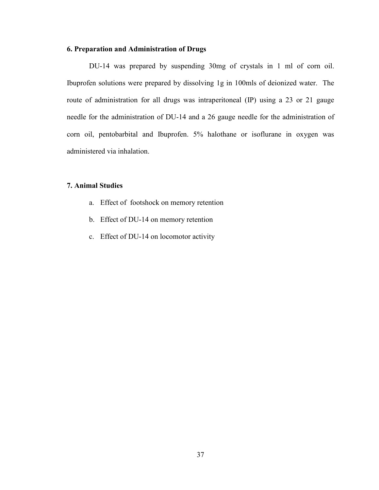## 6. Preparation and Administration of Drugs

DU-14 was prepared by suspending 30mg of crystals in 1 ml of corn oil. Ibuprofen solutions were prepared by dissolving 1g in 100mls of deionized water. The route of administration for all drugs was intraperitoneal (IP) using a 23 or 21 gauge needle for the administration of DU-14 and a 26 gauge needle for the administration of corn oil, pentobarbital and Ibuprofen. 5% halothane or isoflurane in oxygen was administered via inhalation.

## 7. Animal Studies

- a. Effect of footshock on memory retention
- b. Effect of DU-14 on memory retention
- c. Effect of DU-14 on locomotor activity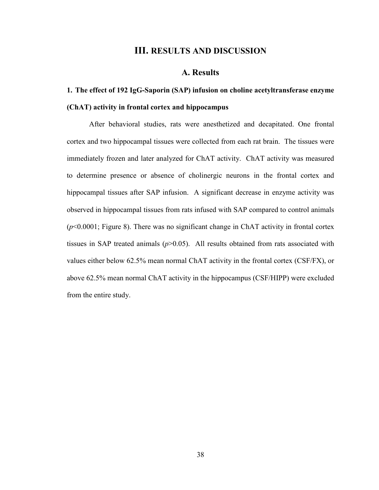# III. RESULTS AND DISCUSSION

# A. Results

# 1. The effect of 192 IgG-Saporin (SAP) infusion on choline acetyltransferase enzyme (ChAT) activity in frontal cortex and hippocampus

 After behavioral studies, rats were anesthetized and decapitated. One frontal cortex and two hippocampal tissues were collected from each rat brain. The tissues were immediately frozen and later analyzed for ChAT activity. ChAT activity was measured to determine presence or absence of cholinergic neurons in the frontal cortex and hippocampal tissues after SAP infusion. A significant decrease in enzyme activity was observed in hippocampal tissues from rats infused with SAP compared to control animals  $(p<0.0001$ ; Figure 8). There was no significant change in ChAT activity in frontal cortex tissues in SAP treated animals  $(p>0.05)$ . All results obtained from rats associated with values either below 62.5% mean normal ChAT activity in the frontal cortex (CSF/FX), or above 62.5% mean normal ChAT activity in the hippocampus (CSF/HIPP) were excluded from the entire study.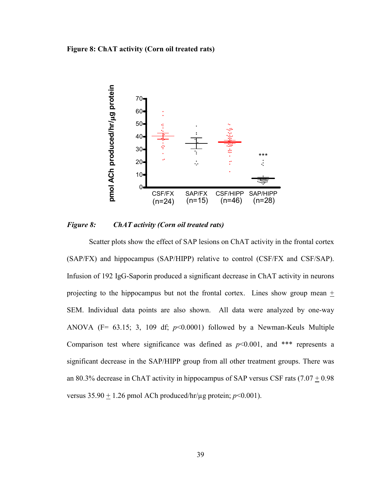#### Figure 8: ChAT activity (Corn oil treated rats)



## *Figure 8: ChAT activity (Corn oil treated rats)*

 Scatter plots show the effect of SAP lesions on ChAT activity in the frontal cortex (SAP/FX) and hippocampus (SAP/HIPP) relative to control (CSF/FX and CSF/SAP). Infusion of 192 IgG-Saporin produced a significant decrease in ChAT activity in neurons projecting to the hippocampus but not the frontal cortex. Lines show group mean + SEM. Individual data points are also shown. All data were analyzed by one-way ANOVA (F= 63.15; 3, 109 df; *p*<0.0001) followed by a Newman-Keuls Multiple Comparison test where significance was defined as  $p<0.001$ , and \*\*\* represents a significant decrease in the SAP/HIPP group from all other treatment groups. There was an 80.3% decrease in ChAT activity in hippocampus of SAP versus CSF rats  $(7.07 + 0.98)$ versus  $35.90 \pm 1.26$  pmol ACh produced/hr/ $\mu$ g protein;  $p<0.001$ ).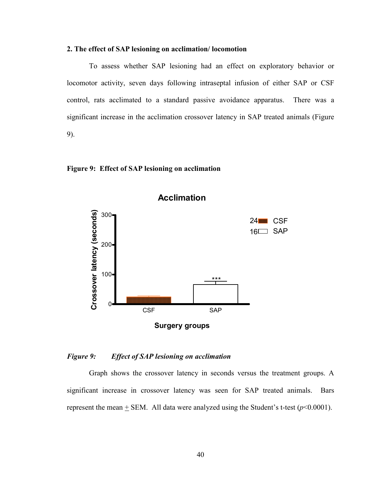## 2. The effect of SAP lesioning on acclimation/ locomotion

 To assess whether SAP lesioning had an effect on exploratory behavior or locomotor activity, seven days following intraseptal infusion of either SAP or CSF control, rats acclimated to a standard passive avoidance apparatus. There was a significant increase in the acclimation crossover latency in SAP treated animals (Figure 9).

#### Figure 9: Effect of SAP lesioning on acclimation



#### *Figure 9: Effect of SAP lesioning on acclimation*

 Graph shows the crossover latency in seconds versus the treatment groups. A significant increase in crossover latency was seen for SAP treated animals. Bars represent the mean  $+$  SEM. All data were analyzed using the Student's t-test ( $p$ <0.0001).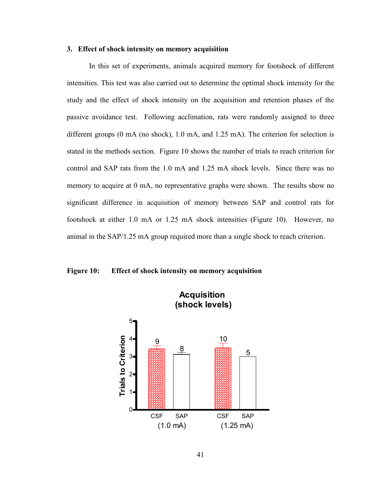### 3. Effect of shock intensity on memory acquisition

 In this set of experiments, animals acquired memory for footshock of different intensities. This test was also carried out to determine the optimal shock intensity for the study and the effect of shock intensity on the acquisition and retention phases of the passive avoidance test. Following acclimation, rats were randomly assigned to three different groups (0 mA (no shock), 1.0 mA, and 1.25 mA). The criterion for selection is stated in the methods section. Figure 10 shows the number of trials to reach criterion for control and SAP rats from the 1.0 mA and 1.25 mA shock levels. Since there was no memory to acquire at 0 mA, no representative graphs were shown. The results show no significant difference in acquisition of memory between SAP and control rats for footshock at either 1.0 mA or 1.25 mA shock intensities (Figure 10). However, no animal in the SAP/1.25 mA group required more than a single shock to reach criterion.

#### Figure 10: Effect of shock intensity on memory acquisition



41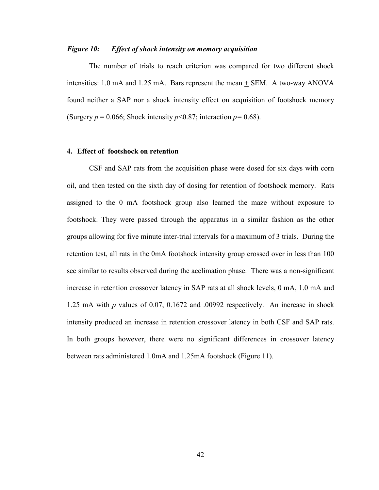## *Figure 10: Effect of shock intensity on memory acquisition*

 The number of trials to reach criterion was compared for two different shock intensities: 1.0 mA and 1.25 mA. Bars represent the mean + SEM. A two-way ANOVA found neither a SAP nor a shock intensity effect on acquisition of footshock memory (Surgery  $p = 0.066$ ; Shock intensity  $p \le 0.87$ ; interaction  $p = 0.68$ ).

## 4. Effect of footshock on retention

 CSF and SAP rats from the acquisition phase were dosed for six days with corn oil, and then tested on the sixth day of dosing for retention of footshock memory. Rats assigned to the 0 mA footshock group also learned the maze without exposure to footshock. They were passed through the apparatus in a similar fashion as the other groups allowing for five minute inter-trial intervals for a maximum of 3 trials. During the retention test, all rats in the 0mA footshock intensity group crossed over in less than 100 sec similar to results observed during the acclimation phase. There was a non-significant increase in retention crossover latency in SAP rats at all shock levels, 0 mA, 1.0 mA and 1.25 mA with *p* values of 0.07, 0.1672 and .00992 respectively. An increase in shock intensity produced an increase in retention crossover latency in both CSF and SAP rats. In both groups however, there were no significant differences in crossover latency between rats administered 1.0mA and 1.25mA footshock (Figure 11).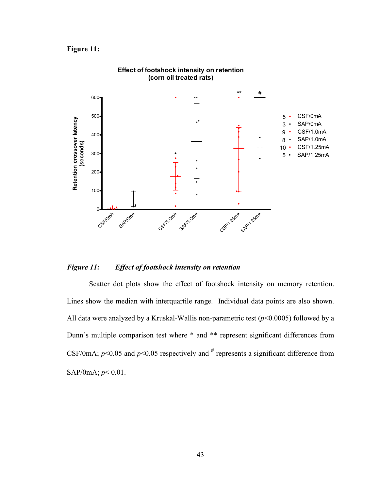# Figure 11:



#### Effect of footshock intensity on retention (corn oil treated rats)

## *Figure 11: Effect of footshock intensity on retention*

 Scatter dot plots show the effect of footshock intensity on memory retention. Lines show the median with interquartile range. Individual data points are also shown. All data were analyzed by a Kruskal-Wallis non-parametric test  $(p<0.0005)$  followed by a Dunn's multiple comparison test where \* and \*\* represent significant differences from CSF/0mA;  $p$ <0.05 and  $p$ <0.05 respectively and  $\#$  represents a significant difference from SAP/0mA;  $p < 0.01$ .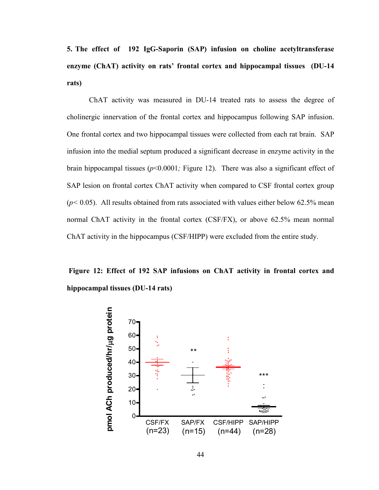5. The effect of 192 IgG-Saporin (SAP) infusion on choline acetyltransferase enzyme (ChAT) activity on rats' frontal cortex and hippocampal tissues (DU-14 rats)

 ChAT activity was measured in DU-14 treated rats to assess the degree of cholinergic innervation of the frontal cortex and hippocampus following SAP infusion. One frontal cortex and two hippocampal tissues were collected from each rat brain. SAP infusion into the medial septum produced a significant decrease in enzyme activity in the brain hippocampal tissues (*p*<0.0001*;* Figure 12). There was also a significant effect of SAP lesion on frontal cortex ChAT activity when compared to CSF frontal cortex group  $(p< 0.05)$ . All results obtained from rats associated with values either below 62.5% mean normal ChAT activity in the frontal cortex (CSF/FX), or above 62.5% mean normal ChAT activity in the hippocampus (CSF/HIPP) were excluded from the entire study.

 Figure 12: Effect of 192 SAP infusions on ChAT activity in frontal cortex and hippocampal tissues (DU-14 rats)

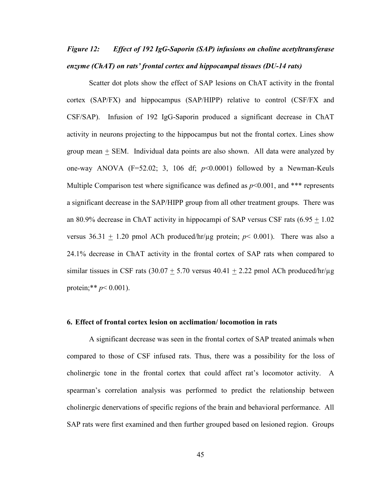# *Figure 12: Effect of 192 IgG-Saporin (SAP) infusions on choline acetyltransferase enzyme (ChAT) on rats' frontal cortex and hippocampal tissues (DU-14 rats)*

 Scatter dot plots show the effect of SAP lesions on ChAT activity in the frontal cortex (SAP/FX) and hippocampus (SAP/HIPP) relative to control (CSF/FX and CSF/SAP). Infusion of 192 IgG-Saporin produced a significant decrease in ChAT activity in neurons projecting to the hippocampus but not the frontal cortex. Lines show group mean + SEM. Individual data points are also shown. All data were analyzed by one-way ANOVA  $(F=52.02; 3, 106$  df;  $p<0.0001)$  followed by a Newman-Keuls Multiple Comparison test where significance was defined as  $p<0.001$ , and \*\*\* represents a significant decrease in the SAP/HIPP group from all other treatment groups. There was an 80.9% decrease in ChAT activity in hippocampi of SAP versus CSF rats  $(6.95 + 1.02)$ versus  $36.31 + 1.20$  pmol ACh produced/hr/ $\mu$ g protein;  $p < 0.001$ ). There was also a 24.1% decrease in ChAT activity in the frontal cortex of SAP rats when compared to similar tissues in CSF rats (30.07  $\pm$  5.70 versus 40.41  $\pm$  2.22 pmol ACh produced/hr/µg protein;\*\* *p*< 0.001).

### 6. Effect of frontal cortex lesion on acclimation/ locomotion in rats

 A significant decrease was seen in the frontal cortex of SAP treated animals when compared to those of CSF infused rats. Thus, there was a possibility for the loss of cholinergic tone in the frontal cortex that could affect rat's locomotor activity. A spearman's correlation analysis was performed to predict the relationship between cholinergic denervations of specific regions of the brain and behavioral performance. All SAP rats were first examined and then further grouped based on lesioned region. Groups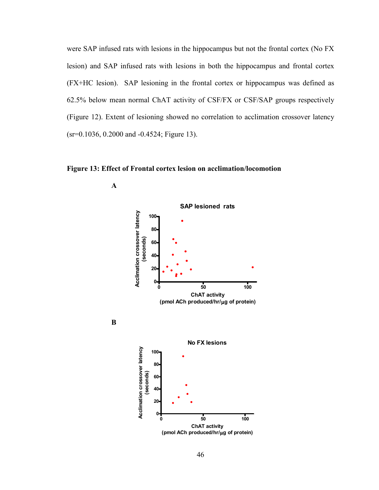were SAP infused rats with lesions in the hippocampus but not the frontal cortex (No FX lesion) and SAP infused rats with lesions in both the hippocampus and frontal cortex (FX+HC lesion). SAP lesioning in the frontal cortex or hippocampus was defined as 62.5% below mean normal ChAT activity of CSF/FX or CSF/SAP groups respectively (Figure 12). Extent of lesioning showed no correlation to acclimation crossover latency (sr=0.1036, 0.2000 and -0.4524; Figure 13).

Figure 13: Effect of Frontal cortex lesion on acclimation/locomotion



A

B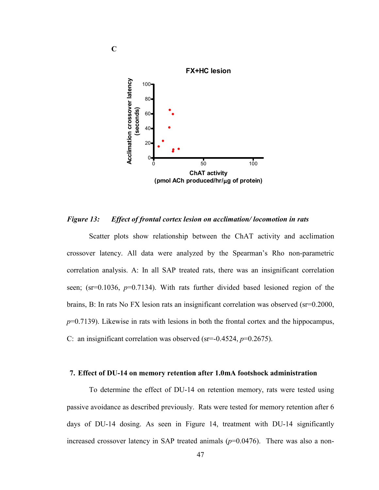

*Figure 13: Effect of frontal cortex lesion on acclimation/ locomotion in rats* 

 Scatter plots show relationship between the ChAT activity and acclimation crossover latency. All data were analyzed by the Spearman's Rho non-parametric correlation analysis. A: In all SAP treated rats, there was an insignificant correlation seen; (sr=0.1036, *p*=0.7134). With rats further divided based lesioned region of the brains, B: In rats No FX lesion rats an insignificant correlation was observed (sr=0.2000, *p*=0.7139). Likewise in rats with lesions in both the frontal cortex and the hippocampus, C: an insignificant correlation was observed (sr=-0.4524, *p*=0.2675).

#### 7. Effect of DU-14 on memory retention after 1.0mA footshock administration

 To determine the effect of DU-14 on retention memory, rats were tested using passive avoidance as described previously. Rats were tested for memory retention after 6 days of DU-14 dosing. As seen in Figure 14, treatment with DU-14 significantly increased crossover latency in SAP treated animals  $(p=0.0476)$ . There was also a non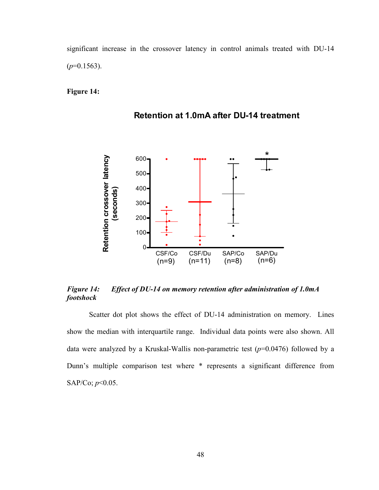significant increase in the crossover latency in control animals treated with DU-14  $(p=0.1563)$ .

Figure 14:





# *Figure 14: Effect of DU-14 on memory retention after administration of 1.0mA footshock*

 Scatter dot plot shows the effect of DU-14 administration on memory. Lines show the median with interquartile range. Individual data points were also shown. All data were analyzed by a Kruskal-Wallis non-parametric test (*p*=0.0476) followed by a Dunn's multiple comparison test where \* represents a significant difference from SAP/Co; *p*<0.05.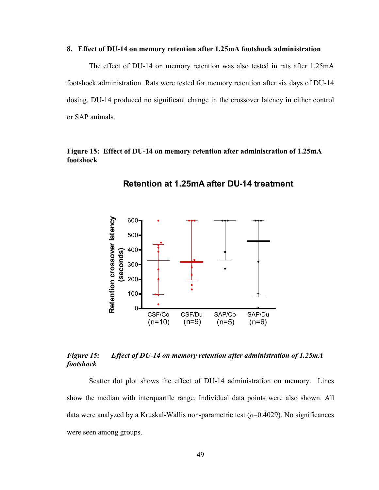#### 8. Effect of DU-14 on memory retention after 1.25mA footshock administration

 The effect of DU-14 on memory retention was also tested in rats after 1.25mA footshock administration. Rats were tested for memory retention after six days of DU-14 dosing. DU-14 produced no significant change in the crossover latency in either control or SAP animals.

# Figure 15: Effect of DU-14 on memory retention after administration of 1.25mA footshock



Retention at 1.25mA after DU-14 treatment

# *Figure 15: Effect of DU-14 on memory retention after administration of 1.25mA footshock*

 Scatter dot plot shows the effect of DU-14 administration on memory. Lines show the median with interquartile range. Individual data points were also shown. All data were analyzed by a Kruskal-Wallis non-parametric test (*p*=0.4029). No significances were seen among groups.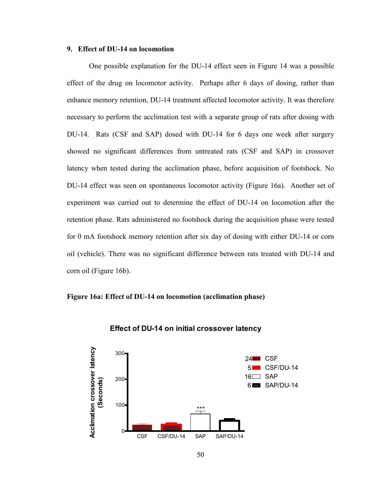#### 9. Effect of DU-14 on locomotion

 One possible explanation for the DU-14 effect seen in Figure 14 was a possible effect of the drug on locomotor activity. Perhaps after 6 days of dosing, rather than enhance memory retention, DU-14 treatment affected locomotor activity. It was therefore necessary to perform the acclimation test with a separate group of rats after dosing with DU-14. Rats (CSF and SAP) dosed with DU-14 for 6 days one week after surgery showed no significant differences from untreated rats (CSF and SAP) in crossover latency when tested during the acclimation phase, before acquisition of footshock. No DU-14 effect was seen on spontaneous locomotor activity (Figure 16a). Another set of experiment was carried out to determine the effect of DU-14 on locomotion after the retention phase. Rats administered no footshock during the acquisition phase were tested for 0 mA footshock memory retention after six day of dosing with either DU-14 or corn oil (vehicle). There was no significant difference between rats treated with DU-14 and corn oil (Figure 16b).

## Figure 16a: Effect of DU-14 on locomotion (acclimation phase)



#### Effect of DU-14 on initial crossover latency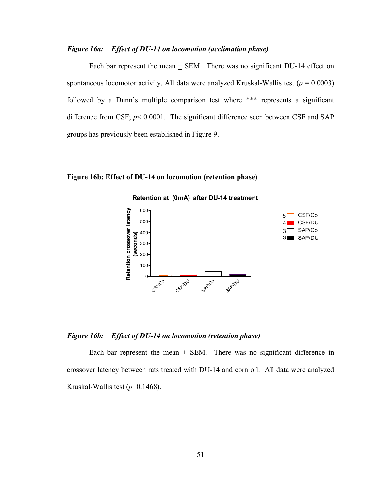## *Figure 16a: Effect of DU-14 on locomotion (acclimation phase)*

 Each bar represent the mean + SEM. There was no significant DU-14 effect on spontaneous locomotor activity. All data were analyzed Kruskal-Wallis test (*p* = 0.0003) followed by a Dunn's multiple comparison test where \*\*\* represents a significant difference from CSF;  $p < 0.0001$ . The significant difference seen between CSF and SAP groups has previously been established in Figure 9.

## Figure 16b: Effect of DU-14 on locomotion (retention phase)



#### *Figure 16b: Effect of DU-14 on locomotion (retention phase)*

Each bar represent the mean  $\pm$  SEM. There was no significant difference in crossover latency between rats treated with DU-14 and corn oil. All data were analyzed Kruskal-Wallis test  $(p=0.1468)$ .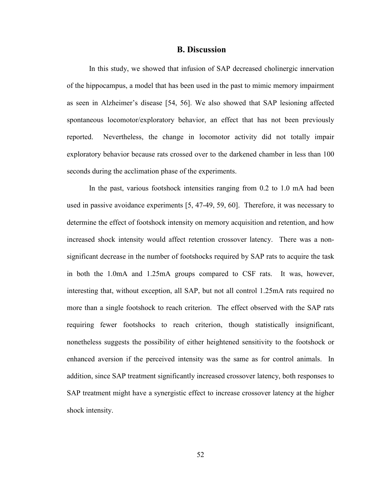#### B. Discussion

In this study, we showed that infusion of SAP decreased cholinergic innervation of the hippocampus, a model that has been used in the past to mimic memory impairment as seen in Alzheimer's disease [54, 56]. We also showed that SAP lesioning affected spontaneous locomotor/exploratory behavior, an effect that has not been previously reported. Nevertheless, the change in locomotor activity did not totally impair exploratory behavior because rats crossed over to the darkened chamber in less than 100 seconds during the acclimation phase of the experiments.

In the past, various footshock intensities ranging from 0.2 to 1.0 mA had been used in passive avoidance experiments [5, 47-49, 59, 60]. Therefore, it was necessary to determine the effect of footshock intensity on memory acquisition and retention, and how increased shock intensity would affect retention crossover latency. There was a nonsignificant decrease in the number of footshocks required by SAP rats to acquire the task in both the 1.0mA and 1.25mA groups compared to CSF rats. It was, however, interesting that, without exception, all SAP, but not all control 1.25mA rats required no more than a single footshock to reach criterion. The effect observed with the SAP rats requiring fewer footshocks to reach criterion, though statistically insignificant, nonetheless suggests the possibility of either heightened sensitivity to the footshock or enhanced aversion if the perceived intensity was the same as for control animals. In addition, since SAP treatment significantly increased crossover latency, both responses to SAP treatment might have a synergistic effect to increase crossover latency at the higher shock intensity.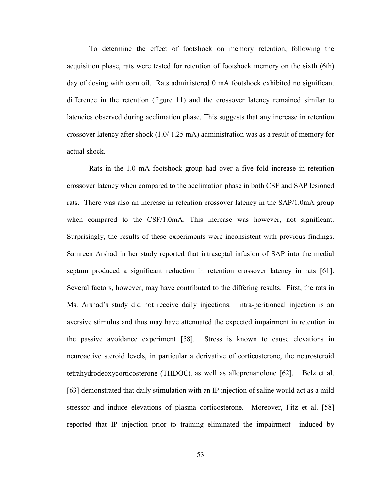To determine the effect of footshock on memory retention, following the acquisition phase, rats were tested for retention of footshock memory on the sixth (6th) day of dosing with corn oil. Rats administered 0 mA footshock exhibited no significant difference in the retention (figure 11) and the crossover latency remained similar to latencies observed during acclimation phase. This suggests that any increase in retention crossover latency after shock (1.0/ 1.25 mA) administration was as a result of memory for actual shock.

Rats in the 1.0 mA footshock group had over a five fold increase in retention crossover latency when compared to the acclimation phase in both CSF and SAP lesioned rats. There was also an increase in retention crossover latency in the SAP/1.0mA group when compared to the CSF/1.0mA. This increase was however, not significant. Surprisingly, the results of these experiments were inconsistent with previous findings. Samreen Arshad in her study reported that intraseptal infusion of SAP into the medial septum produced a significant reduction in retention crossover latency in rats [61]. Several factors, however, may have contributed to the differing results. First, the rats in Ms. Arshad's study did not receive daily injections. Intra-peritioneal injection is an aversive stimulus and thus may have attenuated the expected impairment in retention in the passive avoidance experiment [58]. Stress is known to cause elevations in neuroactive steroid levels, in particular a derivative of corticosterone, the neurosteroid tetrahydrodeoxycorticosterone (THDOC), as well as alloprenanolone [62]. Belz et al. [63] demonstrated that daily stimulation with an IP injection of saline would act as a mild stressor and induce elevations of plasma corticosterone. Moreover, Fitz et al. [58] reported that IP injection prior to training eliminated the impairment induced by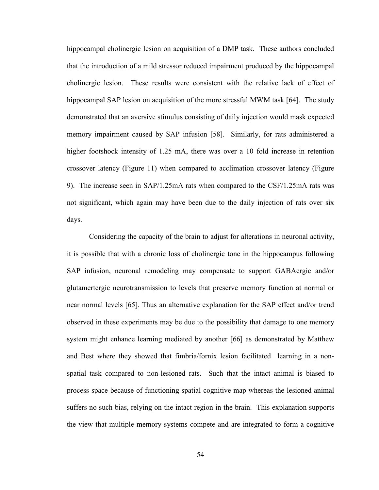hippocampal cholinergic lesion on acquisition of a DMP task. These authors concluded that the introduction of a mild stressor reduced impairment produced by the hippocampal cholinergic lesion. These results were consistent with the relative lack of effect of hippocampal SAP lesion on acquisition of the more stressful MWM task [64]. The study demonstrated that an aversive stimulus consisting of daily injection would mask expected memory impairment caused by SAP infusion [58]. Similarly, for rats administered a higher footshock intensity of 1.25 mA, there was over a 10 fold increase in retention crossover latency (Figure 11) when compared to acclimation crossover latency (Figure 9). The increase seen in SAP/1.25mA rats when compared to the CSF/1.25mA rats was not significant, which again may have been due to the daily injection of rats over six days.

Considering the capacity of the brain to adjust for alterations in neuronal activity, it is possible that with a chronic loss of cholinergic tone in the hippocampus following SAP infusion, neuronal remodeling may compensate to support GABAergic and/or glutamertergic neurotransmission to levels that preserve memory function at normal or near normal levels [65]. Thus an alternative explanation for the SAP effect and/or trend observed in these experiments may be due to the possibility that damage to one memory system might enhance learning mediated by another [66] as demonstrated by Matthew and Best where they showed that fimbria/fornix lesion facilitated learning in a nonspatial task compared to non-lesioned rats. Such that the intact animal is biased to process space because of functioning spatial cognitive map whereas the lesioned animal suffers no such bias, relying on the intact region in the brain. This explanation supports the view that multiple memory systems compete and are integrated to form a cognitive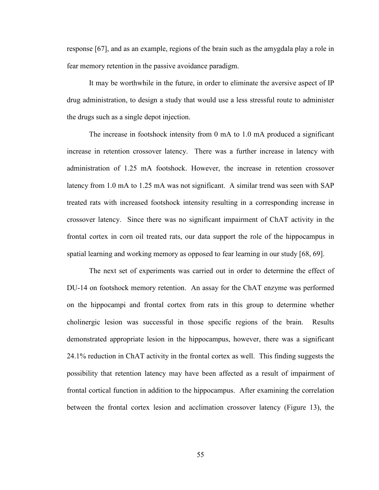response [67], and as an example, regions of the brain such as the amygdala play a role in fear memory retention in the passive avoidance paradigm.

It may be worthwhile in the future, in order to eliminate the aversive aspect of IP drug administration, to design a study that would use a less stressful route to administer the drugs such as a single depot injection.

The increase in footshock intensity from 0 mA to 1.0 mA produced a significant increase in retention crossover latency. There was a further increase in latency with administration of 1.25 mA footshock. However, the increase in retention crossover latency from 1.0 mA to 1.25 mA was not significant. A similar trend was seen with SAP treated rats with increased footshock intensity resulting in a corresponding increase in crossover latency. Since there was no significant impairment of ChAT activity in the frontal cortex in corn oil treated rats, our data support the role of the hippocampus in spatial learning and working memory as opposed to fear learning in our study [68, 69].

The next set of experiments was carried out in order to determine the effect of DU-14 on footshock memory retention. An assay for the ChAT enzyme was performed on the hippocampi and frontal cortex from rats in this group to determine whether cholinergic lesion was successful in those specific regions of the brain. Results demonstrated appropriate lesion in the hippocampus, however, there was a significant 24.1% reduction in ChAT activity in the frontal cortex as well. This finding suggests the possibility that retention latency may have been affected as a result of impairment of frontal cortical function in addition to the hippocampus. After examining the correlation between the frontal cortex lesion and acclimation crossover latency (Figure 13), the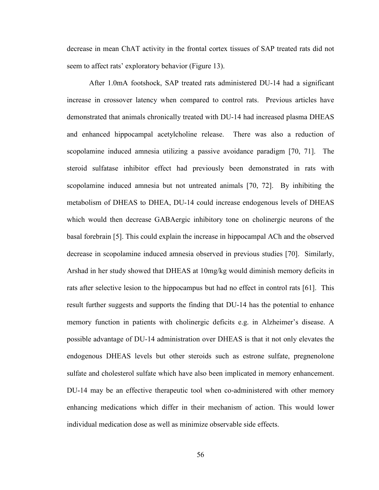decrease in mean ChAT activity in the frontal cortex tissues of SAP treated rats did not seem to affect rats' exploratory behavior (Figure 13).

After 1.0mA footshock, SAP treated rats administered DU-14 had a significant increase in crossover latency when compared to control rats. Previous articles have demonstrated that animals chronically treated with DU-14 had increased plasma DHEAS and enhanced hippocampal acetylcholine release. There was also a reduction of scopolamine induced amnesia utilizing a passive avoidance paradigm [70, 71]. The steroid sulfatase inhibitor effect had previously been demonstrated in rats with scopolamine induced amnesia but not untreated animals [70, 72]. By inhibiting the metabolism of DHEAS to DHEA, DU-14 could increase endogenous levels of DHEAS which would then decrease GABAergic inhibitory tone on cholinergic neurons of the basal forebrain [5]. This could explain the increase in hippocampal ACh and the observed decrease in scopolamine induced amnesia observed in previous studies [70]. Similarly, Arshad in her study showed that DHEAS at 10mg/kg would diminish memory deficits in rats after selective lesion to the hippocampus but had no effect in control rats [61]. This result further suggests and supports the finding that DU-14 has the potential to enhance memory function in patients with cholinergic deficits e.g. in Alzheimer's disease. A possible advantage of DU-14 administration over DHEAS is that it not only elevates the endogenous DHEAS levels but other steroids such as estrone sulfate, pregnenolone sulfate and cholesterol sulfate which have also been implicated in memory enhancement. DU-14 may be an effective therapeutic tool when co-administered with other memory enhancing medications which differ in their mechanism of action. This would lower individual medication dose as well as minimize observable side effects.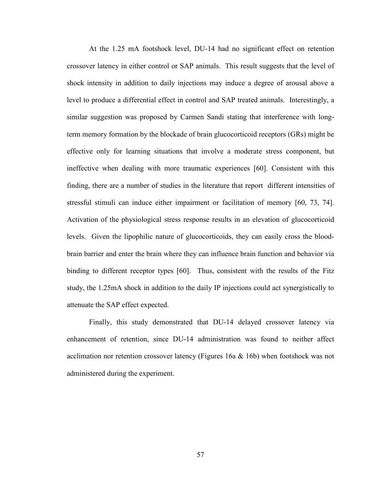At the 1.25 mA footshock level, DU-14 had no significant effect on retention crossover latency in either control or SAP animals. This result suggests that the level of shock intensity in addition to daily injections may induce a degree of arousal above a level to produce a differential effect in control and SAP treated animals. Interestingly, a similar suggestion was proposed by Carmen Sandi stating that interference with longterm memory formation by the blockade of brain glucocorticoid receptors (GRs) might be effective only for learning situations that involve a moderate stress component, but ineffective when dealing with more traumatic experiences [60]. Consistent with this finding, there are a number of studies in the literature that report different intensities of stressful stimuli can induce either impairment or facilitation of memory [60, 73, 74]. Activation of the physiological stress response results in an elevation of glucocorticoid levels. Given the lipophilic nature of glucocorticoids, they can easily cross the bloodbrain barrier and enter the brain where they can influence brain function and behavior via binding to different receptor types [60]. Thus, consistent with the results of the Fitz study, the 1.25mA shock in addition to the daily IP injections could act synergistically to attenuate the SAP effect expected.

Finally, this study demonstrated that DU-14 delayed crossover latency via enhancement of retention, since DU-14 administration was found to neither affect acclimation nor retention crossover latency (Figures 16a  $\&$  16b) when footshock was not administered during the experiment.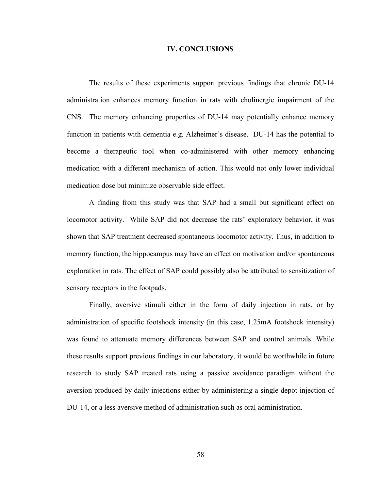#### IV. CONCLUSIONS

The results of these experiments support previous findings that chronic DU-14 administration enhances memory function in rats with cholinergic impairment of the CNS. The memory enhancing properties of DU-14 may potentially enhance memory function in patients with dementia e.g. Alzheimer's disease. DU-14 has the potential to become a therapeutic tool when co-administered with other memory enhancing medication with a different mechanism of action. This would not only lower individual medication dose but minimize observable side effect.

A finding from this study was that SAP had a small but significant effect on locomotor activity. While SAP did not decrease the rats' exploratory behavior, it was shown that SAP treatment decreased spontaneous locomotor activity. Thus, in addition to memory function, the hippocampus may have an effect on motivation and/or spontaneous exploration in rats. The effect of SAP could possibly also be attributed to sensitization of sensory receptors in the footpads.

Finally, aversive stimuli either in the form of daily injection in rats, or by administration of specific footshock intensity (in this case, 1.25mA footshock intensity) was found to attenuate memory differences between SAP and control animals. While these results support previous findings in our laboratory, it would be worthwhile in future research to study SAP treated rats using a passive avoidance paradigm without the aversion produced by daily injections either by administering a single depot injection of DU-14, or a less aversive method of administration such as oral administration.

58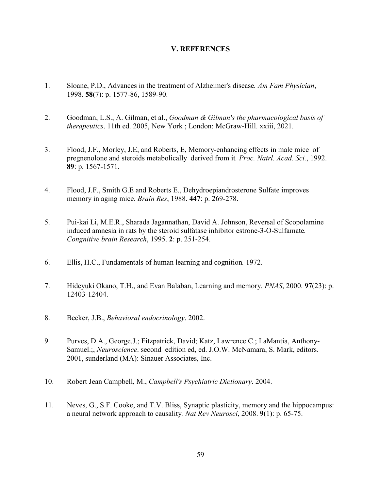## V. REFERENCES

- 1. Sloane, P.D., Advances in the treatment of Alzheimer's disease*. Am Fam Physician*, 1998. 58(7): p. 1577-86, 1589-90.
- 2. Goodman, L.S., A. Gilman, et al., *Goodman & Gilman's the pharmacological basis of therapeutics*. 11th ed. 2005, New York ; London: McGraw-Hill. xxiii, 2021.
- 3. Flood, J.F., Morley, J.E, and Roberts, E, Memory-enhancing effects in male mice of pregnenolone and steroids metabolically derived from it*. Proc. Natrl. Acad. Sci.*, 1992. 89: p. 1567-1571.
- 4. Flood, J.F., Smith G.E and Roberts E., Dehydroepiandrosterone Sulfate improves memory in aging mice*. Brain Res*, 1988. 447: p. 269-278.
- 5. Pui-kai Li, M.E.R., Sharada Jagannathan, David A. Johnson, Reversal of Scopolamine induced amnesia in rats by the steroid sulfatase inhibitor estrone-3-O-Sulfamate*. Congnitive brain Research*, 1995. 2: p. 251-254.
- 6. Ellis, H.C., Fundamentals of human learning and cognition*.* 1972.
- 7. Hideyuki Okano, T.H., and Evan Balaban, Learning and memory*. PNAS*, 2000. 97(23): p. 12403-12404.
- 8. Becker, J.B., *Behavioral endocrinology*. 2002.
- 9. Purves, D.A., George.J.; Fitzpatrick, David; Katz, Lawrence.C.; LaMantia, Anthony-Samuel.;, *Neuroscience*. second edition ed, ed. J.O.W. McNamara, S. Mark, editors. 2001, sunderland (MA): Sinauer Associates, Inc.
- 10. Robert Jean Campbell, M., *Campbell's Psychiatric Dictionary*. 2004.
- 11. Neves, G., S.F. Cooke, and T.V. Bliss, Synaptic plasticity, memory and the hippocampus: a neural network approach to causality*. Nat Rev Neurosci*, 2008. 9(1): p. 65-75.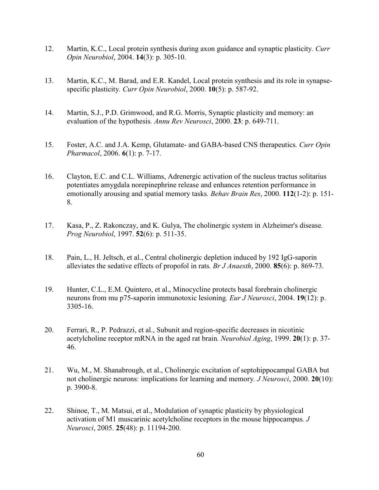- 12. Martin, K.C., Local protein synthesis during axon guidance and synaptic plasticity*. Curr Opin Neurobiol*, 2004. 14(3): p. 305-10.
- 13. Martin, K.C., M. Barad, and E.R. Kandel, Local protein synthesis and its role in synapsespecific plasticity*. Curr Opin Neurobiol*, 2000. 10(5): p. 587-92.
- 14. Martin, S.J., P.D. Grimwood, and R.G. Morris, Synaptic plasticity and memory: an evaluation of the hypothesis*. Annu Rev Neurosci*, 2000. 23: p. 649-711.
- 15. Foster, A.C. and J.A. Kemp, Glutamate- and GABA-based CNS therapeutics*. Curr Opin Pharmacol*, 2006. 6(1): p. 7-17.
- 16. Clayton, E.C. and C.L. Williams, Adrenergic activation of the nucleus tractus solitarius potentiates amygdala norepinephrine release and enhances retention performance in emotionally arousing and spatial memory tasks*. Behav Brain Res*, 2000. 112(1-2): p. 151- 8.
- 17. Kasa, P., Z. Rakonczay, and K. Gulya, The cholinergic system in Alzheimer's disease*. Prog Neurobiol*, 1997. 52(6): p. 511-35.
- 18. Pain, L., H. Jeltsch, et al., Central cholinergic depletion induced by 192 IgG-saporin alleviates the sedative effects of propofol in rats*. Br J Anaesth*, 2000. 85(6): p. 869-73.
- 19. Hunter, C.L., E.M. Quintero, et al., Minocycline protects basal forebrain cholinergic neurons from mu p75-saporin immunotoxic lesioning*. Eur J Neurosci*, 2004. 19(12): p. 3305-16.
- 20. Ferrari, R., P. Pedrazzi, et al., Subunit and region-specific decreases in nicotinic acetylcholine receptor mRNA in the aged rat brain*. Neurobiol Aging*, 1999. 20(1): p. 37- 46.
- 21. Wu, M., M. Shanabrough, et al., Cholinergic excitation of septohippocampal GABA but not cholinergic neurons: implications for learning and memory*. J Neurosci*, 2000. 20(10): p. 3900-8.
- 22. Shinoe, T., M. Matsui, et al., Modulation of synaptic plasticity by physiological activation of M1 muscarinic acetylcholine receptors in the mouse hippocampus*. J Neurosci*, 2005. 25(48): p. 11194-200.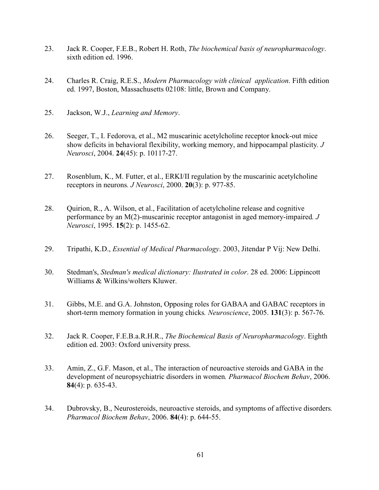- 23. Jack R. Cooper, F.E.B., Robert H. Roth, *The biochemical basis of neuropharmacology*. sixth edition ed. 1996.
- 24. Charles R. Craig, R.E.S., *Modern Pharmacology with clinical application*. Fifth edition ed. 1997, Boston, Massachusetts 02108: little, Brown and Company.
- 25. Jackson, W.J., *Learning and Memory*.
- 26. Seeger, T., I. Fedorova, et al., M2 muscarinic acetylcholine receptor knock-out mice show deficits in behavioral flexibility, working memory, and hippocampal plasticity*. J Neurosci*, 2004. 24(45): p. 10117-27.
- 27. Rosenblum, K., M. Futter, et al., ERKI/II regulation by the muscarinic acetylcholine receptors in neurons*. J Neurosci*, 2000. 20(3): p. 977-85.
- 28. Ouirion, R., A. Wilson, et al., Facilitation of acetylcholine release and cognitive performance by an M(2)-muscarinic receptor antagonist in aged memory-impaired*. J Neurosci*, 1995. 15(2): p. 1455-62.
- 29. Tripathi, K.D., *Essential of Medical Pharmacology*. 2003, Jitendar P Vij: New Delhi.
- 30. Stedman's, *Stedman's medical dictionary: Ilustrated in color*. 28 ed. 2006: Lippincott Williams & Wilkins/wolters Kluwer.
- 31. Gibbs, M.E. and G.A. Johnston, Opposing roles for GABAA and GABAC receptors in short-term memory formation in young chicks*. Neuroscience*, 2005. 131(3): p. 567-76.
- 32. Jack R. Cooper, F.E.B.a.R.H.R., *The Biochemical Basis of Neuropharmacology*. Eighth edition ed. 2003: Oxford university press.
- 33. Amin, Z., G.F. Mason, et al., The interaction of neuroactive steroids and GABA in the development of neuropsychiatric disorders in women*. Pharmacol Biochem Behav*, 2006. 84(4): p. 635-43.
- 34. Dubrovsky, B., Neurosteroids, neuroactive steroids, and symptoms of affective disorders*. Pharmacol Biochem Behav*, 2006. 84(4): p. 644-55.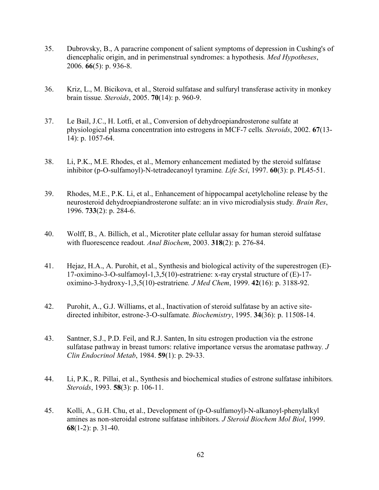- 35. Dubrovsky, B., A paracrine component of salient symptoms of depression in Cushing's of diencephalic origin, and in perimenstrual syndromes: a hypothesis*. Med Hypotheses*, 2006. 66(5): p. 936-8.
- 36. Kriz, L., M. Bicikova, et al., Steroid sulfatase and sulfuryl transferase activity in monkey brain tissue*. Steroids*, 2005. 70(14): p. 960-9.
- 37. Le Bail, J.C., H. Lotfi, et al., Conversion of dehydroepiandrosterone sulfate at physiological plasma concentration into estrogens in MCF-7 cells*. Steroids*, 2002. 67(13- 14): p. 1057-64.
- 38. Li, P.K., M.E. Rhodes, et al., Memory enhancement mediated by the steroid sulfatase inhibitor (p-O-sulfamoyl)-N-tetradecanoyl tyramine*. Life Sci*, 1997. 60(3): p. PL45-51.
- 39. Rhodes, M.E., P.K. Li, et al., Enhancement of hippocampal acetylcholine release by the neurosteroid dehydroepiandrosterone sulfate: an in vivo microdialysis study*. Brain Res*, 1996. 733(2): p. 284-6.
- 40. Wolff, B., A. Billich, et al., Microtiter plate cellular assay for human steroid sulfatase with fluorescence readout*. Anal Biochem*, 2003. 318(2): p. 276-84.
- 41. Hejaz, H.A., A. Purohit, et al., Synthesis and biological activity of the superestrogen (E)- 17-oximino-3-O-sulfamoyl-1,3,5(10)-estratriene: x-ray crystal structure of (E)-17 oximino-3-hydroxy-1,3,5(10)-estratriene*. J Med Chem*, 1999. 42(16): p. 3188-92.
- 42. Purohit, A., G.J. Williams, et al., Inactivation of steroid sulfatase by an active sitedirected inhibitor, estrone-3-O-sulfamate*. Biochemistry*, 1995. 34(36): p. 11508-14.
- 43. Santner, S.J., P.D. Feil, and R.J. Santen, In situ estrogen production via the estrone sulfatase pathway in breast tumors: relative importance versus the aromatase pathway*. J Clin Endocrinol Metab*, 1984. 59(1): p. 29-33.
- 44. Li, P.K., R. Pillai, et al., Synthesis and biochemical studies of estrone sulfatase inhibitors*. Steroids*, 1993. 58(3): p. 106-11.
- 45. Kolli, A., G.H. Chu, et al., Development of (p-O-sulfamoyl)-N-alkanoyl-phenylalkyl amines as non-steroidal estrone sulfatase inhibitors*. J Steroid Biochem Mol Biol*, 1999. 68(1-2): p. 31-40.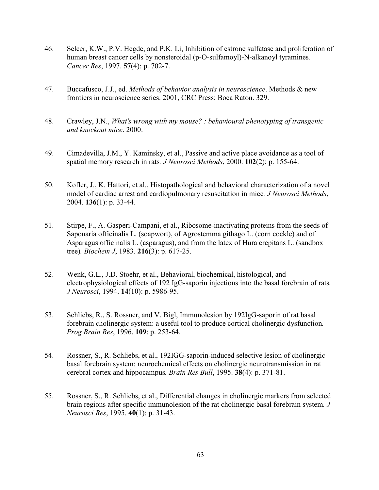- 46. Selcer, K.W., P.V. Hegde, and P.K. Li, Inhibition of estrone sulfatase and proliferation of human breast cancer cells by nonsteroidal (p-O-sulfamoyl)-N-alkanoyl tyramines*. Cancer Res*, 1997. 57(4): p. 702-7.
- 47. Buccafusco, J.J., ed. *Methods of behavior analysis in neuroscience*. Methods & new frontiers in neuroscience series. 2001, CRC Press: Boca Raton. 329.
- 48. Crawley, J.N., *What's wrong with my mouse? : behavioural phenotyping of transgenic and knockout mice*. 2000.
- 49. Cimadevilla, J.M., Y. Kaminsky, et al., Passive and active place avoidance as a tool of spatial memory research in rats*. J Neurosci Methods*, 2000. 102(2): p. 155-64.
- 50. Kofler, J., K. Hattori, et al., Histopathological and behavioral characterization of a novel model of cardiac arrest and cardiopulmonary resuscitation in mice*. J Neurosci Methods*, 2004. 136(1): p. 33-44.
- 51. Stirpe, F., A. Gasperi-Campani, et al., Ribosome-inactivating proteins from the seeds of Saponaria officinalis L. (soapwort), of Agrostemma githago L. (corn cockle) and of Asparagus officinalis L. (asparagus), and from the latex of Hura crepitans L. (sandbox tree)*. Biochem J*, 1983. 216(3): p. 617-25.
- 52. Wenk, G.L., J.D. Stoehr, et al., Behavioral, biochemical, histological, and electrophysiological effects of 192 IgG-saporin injections into the basal forebrain of rats*. J Neurosci*, 1994. 14(10): p. 5986-95.
- 53. Schliebs, R., S. Rossner, and V. Bigl, Immunolesion by 192IgG-saporin of rat basal forebrain cholinergic system: a useful tool to produce cortical cholinergic dysfunction*. Prog Brain Res*, 1996. 109: p. 253-64.
- 54. Rossner, S., R. Schliebs, et al., 192IGG-saporin-induced selective lesion of cholinergic basal forebrain system: neurochemical effects on cholinergic neurotransmission in rat cerebral cortex and hippocampus*. Brain Res Bull*, 1995. 38(4): p. 371-81.
- 55. Rossner, S., R. Schliebs, et al., Differential changes in cholinergic markers from selected brain regions after specific immunolesion of the rat cholinergic basal forebrain system*. J Neurosci Res*, 1995. 40(1): p. 31-43.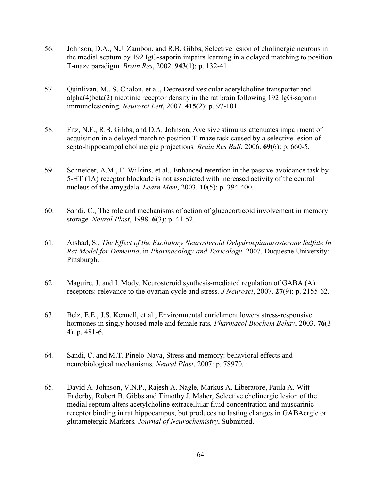- 56. Johnson, D.A., N.J. Zambon, and R.B. Gibbs, Selective lesion of cholinergic neurons in the medial septum by 192 IgG-saporin impairs learning in a delayed matching to position T-maze paradigm*. Brain Res*, 2002. 943(1): p. 132-41.
- 57. Quinlivan, M., S. Chalon, et al., Decreased vesicular acetylcholine transporter and alpha(4)beta(2) nicotinic receptor density in the rat brain following 192 IgG-saporin immunolesioning*. Neurosci Lett*, 2007. 415(2): p. 97-101.
- 58. Fitz, N.F., R.B. Gibbs, and D.A. Johnson, Aversive stimulus attenuates impairment of acquisition in a delayed match to position T-maze task caused by a selective lesion of septo-hippocampal cholinergic projections*. Brain Res Bull*, 2006. 69(6): p. 660-5.
- 59. Schneider, A.M., E. Wilkins, et al., Enhanced retention in the passive-avoidance task by 5-HT (1A) receptor blockade is not associated with increased activity of the central nucleus of the amygdala*. Learn Mem*, 2003. 10(5): p. 394-400.
- 60. Sandi, C., The role and mechanisms of action of glucocorticoid involvement in memory storage*. Neural Plast*, 1998. 6(3): p. 41-52.
- 61. Arshad, S., *The Effect of the Excitatory Neurosteroid Dehydroepiandrosterone Sulfate In Rat Model for Dementia*, in *Pharmacology and Toxicology*. 2007, Duquesne University: Pittsburgh.
- 62. Maguire, J. and I. Mody, Neurosteroid synthesis-mediated regulation of GABA (A) receptors: relevance to the ovarian cycle and stress*. J Neurosci*, 2007. 27(9): p. 2155-62.
- 63. Belz, E.E., J.S. Kennell, et al., Environmental enrichment lowers stress-responsive hormones in singly housed male and female rats*. Pharmacol Biochem Behav*, 2003. 76(3- 4): p. 481-6.
- 64. Sandi, C. and M.T. Pinelo-Nava, Stress and memory: behavioral effects and neurobiological mechanisms*. Neural Plast*, 2007: p. 78970.
- 65. David A. Johnson, V.N.P., Rajesh A. Nagle, Markus A. Liberatore, Paula A. Witt-Enderby, Robert B. Gibbs and Timothy J. Maher, Selective cholinergic lesion of the medial septum alters acetylcholine extracellular fluid concentration and muscarinic receptor binding in rat hippocampus, but produces no lasting changes in GABAergic or glutametergic Markers*. Journal of Neurochemistry*, Submitted.